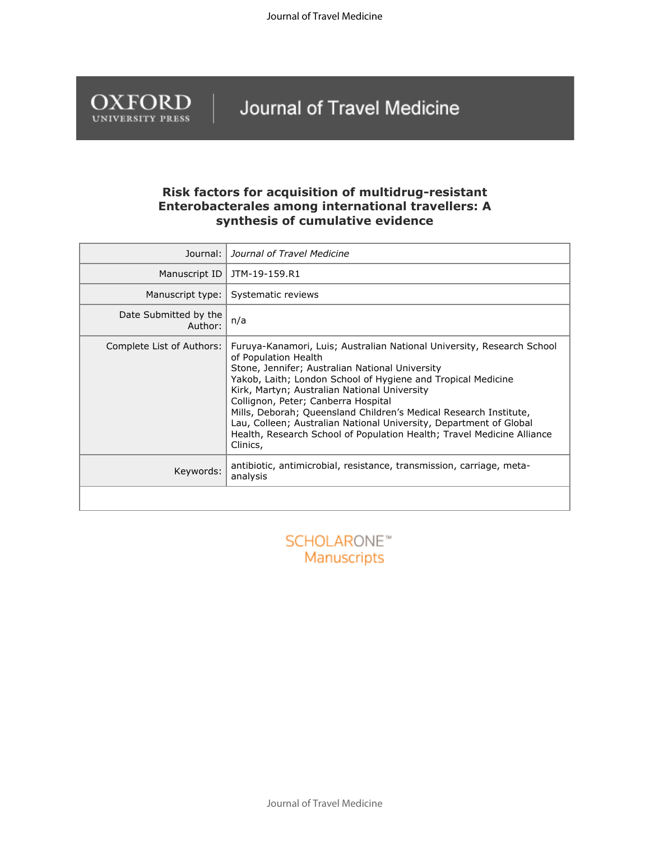Journal of Travel Medicine



## Journal of Travel Medicine

## **Risk factors for acquisition of multidrug-resistant Enterobacterales among international travellers: A synthesis of cumulative evidence**

| Journal:                         | Journal of Travel Medicine                                                                                                                                                                                                                                                                                                                                                                                                                                                                                                                |  |  |  |  |  |
|----------------------------------|-------------------------------------------------------------------------------------------------------------------------------------------------------------------------------------------------------------------------------------------------------------------------------------------------------------------------------------------------------------------------------------------------------------------------------------------------------------------------------------------------------------------------------------------|--|--|--|--|--|
| Manuscript ID                    | JTM-19-159.R1                                                                                                                                                                                                                                                                                                                                                                                                                                                                                                                             |  |  |  |  |  |
| Manuscript type:                 | Systematic reviews                                                                                                                                                                                                                                                                                                                                                                                                                                                                                                                        |  |  |  |  |  |
| Date Submitted by the<br>Author: | n/a                                                                                                                                                                                                                                                                                                                                                                                                                                                                                                                                       |  |  |  |  |  |
| Complete List of Authors:        | Furuya-Kanamori, Luis; Australian National University, Research School<br>of Population Health<br>Stone, Jennifer; Australian National University<br>Yakob, Laith; London School of Hygiene and Tropical Medicine<br>Kirk, Martyn; Australian National University<br>Collignon, Peter; Canberra Hospital<br>Mills, Deborah; Queensland Children's Medical Research Institute,<br>Lau, Colleen; Australian National University, Department of Global<br>Health, Research School of Population Health; Travel Medicine Alliance<br>Clinics, |  |  |  |  |  |
| Keywords:                        | antibiotic, antimicrobial, resistance, transmission, carriage, meta-<br>analysis                                                                                                                                                                                                                                                                                                                                                                                                                                                          |  |  |  |  |  |
|                                  |                                                                                                                                                                                                                                                                                                                                                                                                                                                                                                                                           |  |  |  |  |  |
|                                  |                                                                                                                                                                                                                                                                                                                                                                                                                                                                                                                                           |  |  |  |  |  |

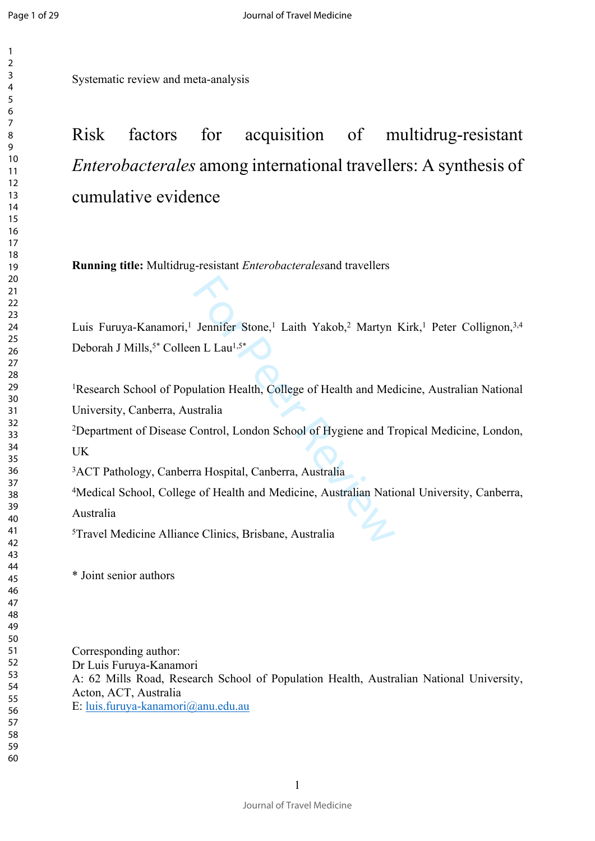$\mathbf{1}$  $\overline{2}$ 

Systematic review and meta-analysis

# Risk factors for acquisition of multidrug-resistant *Enterobacterales* among international travellers: A synthesis of cumulative evidence

**Running title:** Multidrug-resistant *Enterobacterales*and travellers

Jennifer Stone,<sup>1</sup> Laith Yakob,<sup>2</sup> Martyn<br>
en L Lau<sup>1,5\*</sup><br>
ulation Health, College of Health and Mec<br>
stralia<br>
Control, London School of Hygiene and T<br>
ra Hospital, Canberra, Australia<br>
e of Health and Medicine, Australian Luis Furuya-Kanamori,<sup>1</sup> Jennifer Stone,<sup>1</sup> Laith Yakob,<sup>2</sup> Martyn Kirk,<sup>1</sup> Peter Collignon,<sup>3,4</sup> Deborah J Mills,<sup>5\*</sup> Colleen L Lau<sup>1,5\*</sup>

Research School of Population Health, College of Health and Medicine, Australian National University, Canberra, Australia

Department of Disease Control, London School of Hygiene and Tropical Medicine, London, UK

ACT Pathology, Canberra Hospital, Canberra, Australia

Medical School, College of Health and Medicine, Australian National University, Canberra, Australia

Travel Medicine Alliance Clinics, Brisbane, Australia

\* Joint senior authors

Corresponding author: Dr Luis Furuya-Kanamori A: 62 Mills Road, Research School of Population Health, Australian National University, Acton, ACT, Australia E: [luis.furuya-kanamori@anu.edu.au](mailto:luis.furuya-kanamori@anu.edu.au)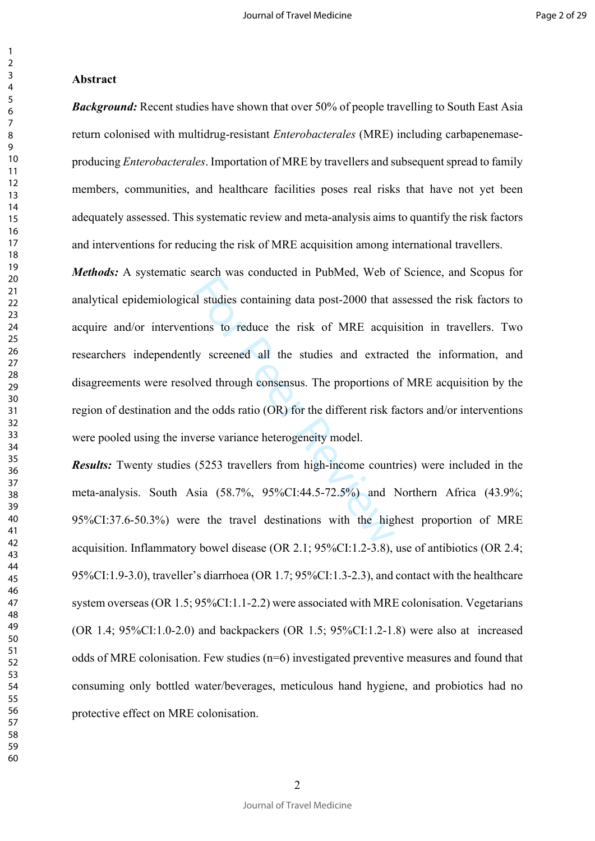## **Abstract**

*Background:* Recent studies have shown that over 50% of people travelling to South East Asia return colonised with multidrug-resistant *Enterobacterales* (MRE) including carbapenemaseproducing *Enterobacterales*. Importation of MRE by travellers and subsequent spread to family members, communities, and healthcare facilities poses real risks that have not yet been adequately assessed. This systematic review and meta-analysis aims to quantify the risk factors and interventions for reducing the risk of MRE acquisition among international travellers.

al studies containing data post-2000 that a<br>ions to reduce the risk of MRE acqui<br>ly screened all the studies and extract<br>lved through consensus. The proportions of<br>the odds ratio (OR) for the different risk for<br>erse varian *Methods:* A systematic search was conducted in PubMed, Web of Science, and Scopus for analytical epidemiological studies containing data post-2000 that assessed the risk factors to acquire and/or interventions to reduce the risk of MRE acquisition in travellers. Two researchers independently screened all the studies and extracted the information, and disagreements were resolved through consensus. The proportions of MRE acquisition by the region of destination and the odds ratio (OR) for the different risk factors and/or interventions were pooled using the inverse variance heterogeneity model.

*Results:* Twenty studies (5253 travellers from high-income countries) were included in the meta-analysis. South Asia (58.7%, 95%CI:44.5-72.5%) and Northern Africa (43.9%; 95%CI:37.6-50.3%) were the travel destinations with the highest proportion of MRE acquisition. Inflammatory bowel disease (OR 2.1; 95%CI:1.2-3.8), use of antibiotics (OR 2.4; 95%CI:1.9-3.0), traveller's diarrhoea (OR 1.7; 95%CI:1.3-2.3), and contact with the healthcare system overseas (OR 1.5; 95%CI:1.1-2.2) were associated with MRE colonisation. Vegetarians (OR 1.4;  $95\%$ CI:1.0-2.0) and backpackers (OR 1.5;  $95\%$ CI:1.2-1.8) were also at increased odds of MRE colonisation. Few studies (n=6) investigated preventive measures and found that consuming only bottled water/beverages, meticulous hand hygiene, and probiotics had no protective effect on MRE colonisation.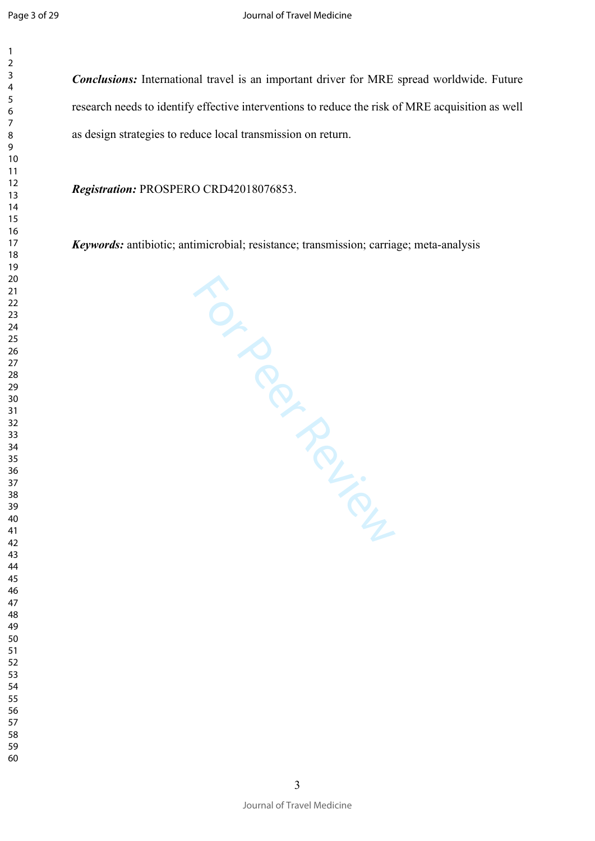$\mathbf{1}$ 

*Conclusions:* International travel is an important driver for MRE spread worldwide. Future research needs to identify effective interventions to reduce the risk of MRE acquisition as well as design strategies to reduce local transmission on return.

*Registration:* PROSPERO CRD42018076853.

*Keywords:* antibiotic; antimicrobial; resistance; transmission; carriage; meta-analysis

TO ROUGH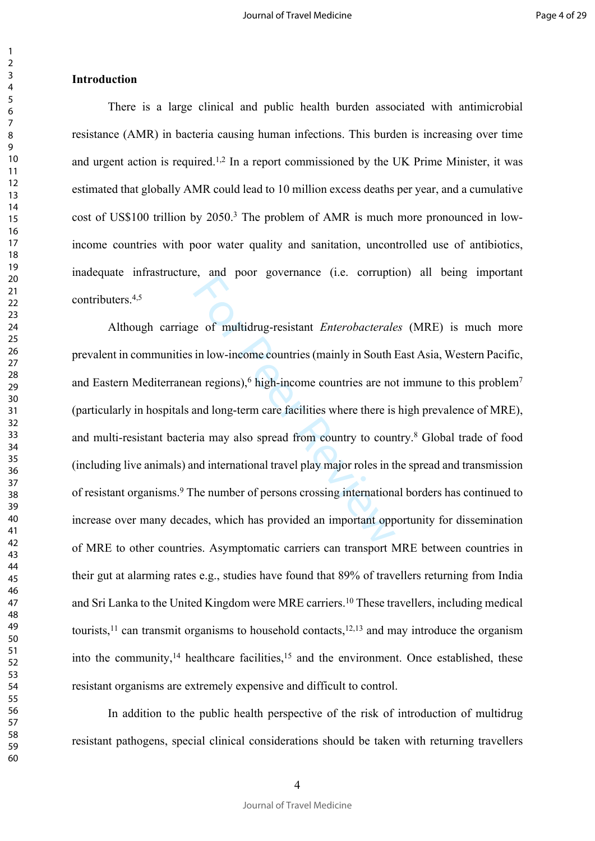#### **Introduction**

There is a large clinical and public health burden associated with antimicrobial resistance (AMR) in bacteria causing human infections. This burden is increasing over time and urgent action is required.<sup>1,2</sup> In a report commissioned by the UK Prime Minister, it was estimated that globally AMR could lead to 10 million excess deaths per year, and a cumulative cost of US\$100 trillion by 2050.<sup>3</sup> The problem of AMR is much more pronounced in lowincome countries with poor water quality and sanitation, uncontrolled use of antibiotics, inadequate infrastructure, and poor governance (i.e. corruption) all being important contributers.4,5

e of multidrug-resistant *Enterobacterale*<br>in low-income countries (mainly in South lan<br>negions),<sup>6</sup> high-income countries are no<br>and long-term care facilities where there is<br>ria may also spread from country to coun<br>nd int Although carriage of multidrug-resistant *Enterobacterales* (MRE) is much more prevalent in communities in low-income countries (mainly in South East Asia, Western Pacific, and Eastern Mediterranean regions),<sup>6</sup> high-income countries are not immune to this problem<sup>7</sup> (particularly in hospitals and long-term care facilities where there is high prevalence of MRE), and multi-resistant bacteria may also spread from country to country.<sup>8</sup> Global trade of food (including live animals) and international travel play major roles in the spread and transmission of resistant organisms.<sup>9</sup> The number of persons crossing international borders has continued to increase over many decades, which has provided an important opportunity for dissemination of MRE to other countries. Asymptomatic carriers can transport MRE between countries in their gut at alarming rates e.g., studies have found that 89% of travellers returning from India and Sri Lanka to the United Kingdom were MRE carriers.<sup>10</sup> These travellers, including medical tourists,<sup>11</sup> can transmit organisms to household contacts,<sup>12,13</sup> and may introduce the organism into the community, healthcare facilities, $15$  and the environment. Once established, these resistant organisms are extremely expensive and difficult to control.

In addition to the public health perspective of the risk of introduction of multidrug resistant pathogens, special clinical considerations should be taken with returning travellers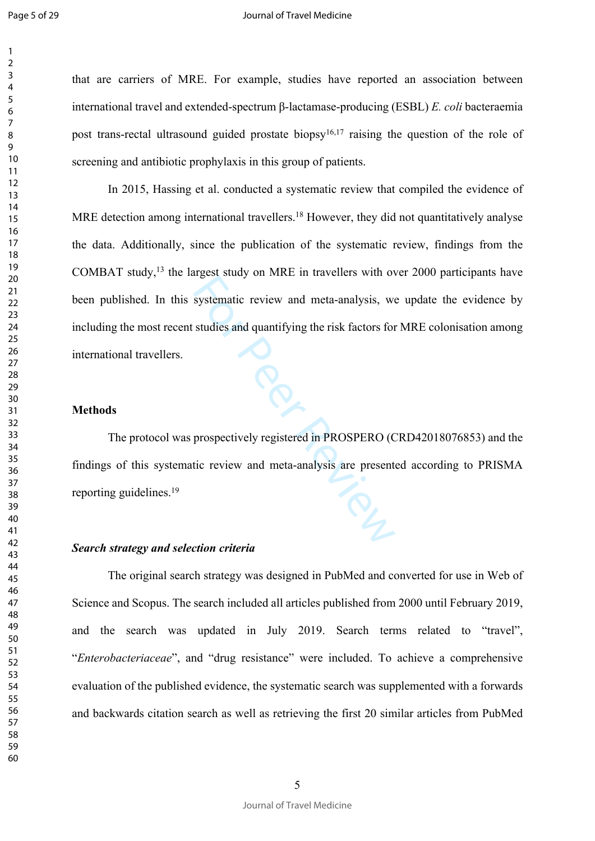$\mathbf{1}$  $\overline{2}$  $\overline{3}$  $\overline{4}$ 

#### Journal of Travel Medicine

that are carriers of MRE. For example, studies have reported an association between international travel and extended-spectrum β-lactamase-producing (ESBL) *E. coli* bacteraemia post trans-rectal ultrasound guided prostate biopsy<sup>16,17</sup> raising the question of the role of screening and antibiotic prophylaxis in this group of patients.

systematic review and meta-analysis, we<br>studies and quantifying the risk factors for<br>tudies and quantifying the risk factors for<br>prospectively registered in PROSPERO (C<br>tic review and meta-analysis are present In 2015, Hassing et al. conducted a systematic review that compiled the evidence of MRE detection among international travellers.<sup>18</sup> However, they did not quantitatively analyse the data. Additionally, since the publication of the systematic review, findings from the COMBAT study,<sup>13</sup> the largest study on MRE in travellers with over 2000 participants have been published. In this systematic review and meta-analysis, we update the evidence by including the most recent studies and quantifying the risk factors for MRE colonisation among international travellers.

## **Methods**

The protocol was prospectively registered in PROSPERO (CRD42018076853) and the findings of this systematic review and meta-analysis are presented according to PRISMA reporting guidelines.<sup>19</sup>

#### *Search strategy and selection criteria*

The original search strategy was designed in PubMed and converted for use in Web of Science and Scopus. The search included all articles published from 2000 until February 2019, and the search was updated in July 2019. Search terms related to "travel", "*Enterobacteriaceae*", and "drug resistance" were included. To achieve a comprehensive evaluation of the published evidence, the systematic search was supplemented with a forwards and backwards citation search as well as retrieving the first 20 similar articles from PubMed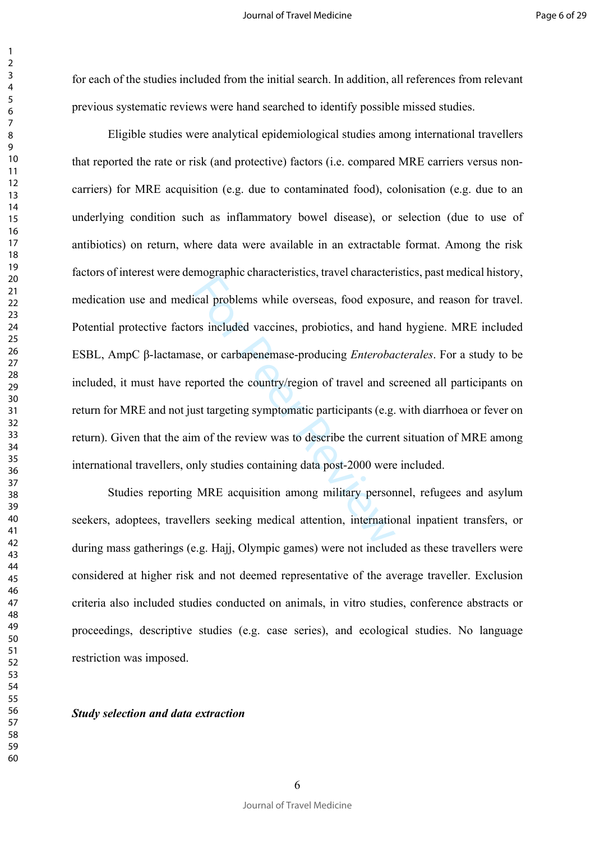for each of the studies included from the initial search. In addition, all references from relevant previous systematic reviews were hand searched to identify possible missed studies.

Incidently, these contracts of the contracts of the contracts of the corrections of the set, or carbapene<br>For Peer Controllers, probiotics, and han set, or carbapene<br>masse-producing *Enteroba* ported the country/region of Eligible studies were analytical epidemiological studies among international travellers that reported the rate or risk (and protective) factors (i.e. compared MRE carriers versus noncarriers) for MRE acquisition (e.g. due to contaminated food), colonisation (e.g. due to an underlying condition such as inflammatory bowel disease), or selection (due to use of antibiotics) on return, where data were available in an extractable format. Among the risk factors of interest were demographic characteristics, travel characteristics, past medical history, medication use and medical problems while overseas, food exposure, and reason for travel. Potential protective factors included vaccines, probiotics, and hand hygiene. MRE included ESBL, AmpC β-lactamase, or carbapenemase-producing *Enterobacterales*. For a study to be included, it must have reported the country/region of travel and screened all participants on return for MRE and not just targeting symptomatic participants (e.g. with diarrhoea or fever on return). Given that the aim of the review was to describe the current situation of MRE among international travellers, only studies containing data post-2000 were included.

Studies reporting MRE acquisition among military personnel, refugees and asylum seekers, adoptees, travellers seeking medical attention, international inpatient transfers, or during mass gatherings (e.g. Hajj, Olympic games) were not included as these travellers were considered at higher risk and not deemed representative of the average traveller. Exclusion criteria also included studies conducted on animals, in vitro studies, conference abstracts or proceedings, descriptive studies (e.g. case series), and ecological studies. No language restriction was imposed.

*Study selection and data extraction*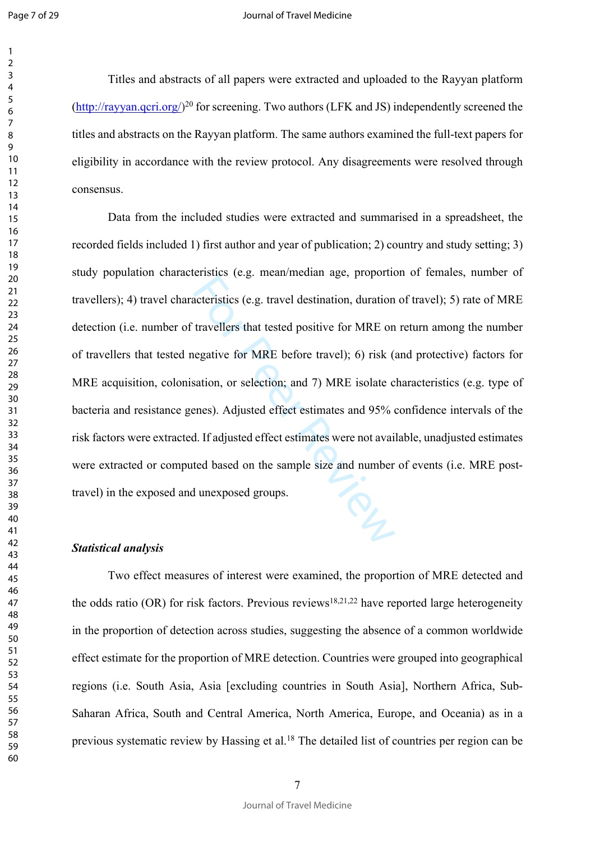$\mathbf{1}$  $\overline{2}$  $\overline{3}$  $\overline{4}$  $\overline{7}$ 

#### Journal of Travel Medicine

Titles and abstracts of all papers were extracted and uploaded to the Rayyan platform  $(\frac{http://rayyan.qcri.org/}{^{20}})$  $(\frac{http://rayyan.qcri.org/}{^{20}})$  $(\frac{http://rayyan.qcri.org/}{^{20}})$  for screening. Two authors (LFK and JS) independently screened the titles and abstracts on the Rayyan platform . The same authors examined the full-text papers for eligibility in accordance with the review protocol. Any disagreements were resolved through consensus.

eristics (e.g. tracta meanta age, preported<br>acteristics (e.g. travel destination, duration<br>travellers that tested positive for MRE on<br>negative for MRE before travel); 6) risk (sation, or selection; and 7) MRE isolate c<br>ene Data from the included studies were extracted and summarised in a spreadsheet, the recorded fields included 1) first author and year of publication; 2) country and study setting; 3) study population characteristics (e.g. mean/median age, proportion of females, number of travellers); 4) travel characteristics (e.g. travel destination, duration of travel); 5) rate of MRE detection (i.e. number of travellers that tested positive for MRE on return among the number of travellers that tested negative for MRE before travel); 6) risk (and protective) factors for MRE acquisition, colonisation, or selection; and 7) MRE isolate characteristics (e.g. type of bacteria and resistance genes). Adjusted effect estimates and 95% confidence intervals of the risk factors were extracted. If adjusted effect estimates were not available, unadjusted estimates were extracted or computed based on the sample size and number of events (i.e. MRE posttravel) in the exposed and unexposed groups.

#### *Statistical analysis*

Two effect measures of interest were examined, the proportion of MRE detected and the odds ratio (OR) for risk factors. Previous reviews<sup>18,21,22</sup> have reported large heterogeneity in the proportion of detection across studies, suggesting the absence of a common worldwide effect estimate for the proportion of MRE detection. Countries were grouped into geographical regions (i.e. South Asia, Asia [excluding countries in South Asia], Northern Africa, Sub-Saharan Africa, South and Central America, North America, Europe, and Oceania) as in a previous systematic review by Hassing et al.<sup>18</sup> The detailed list of countries per region can be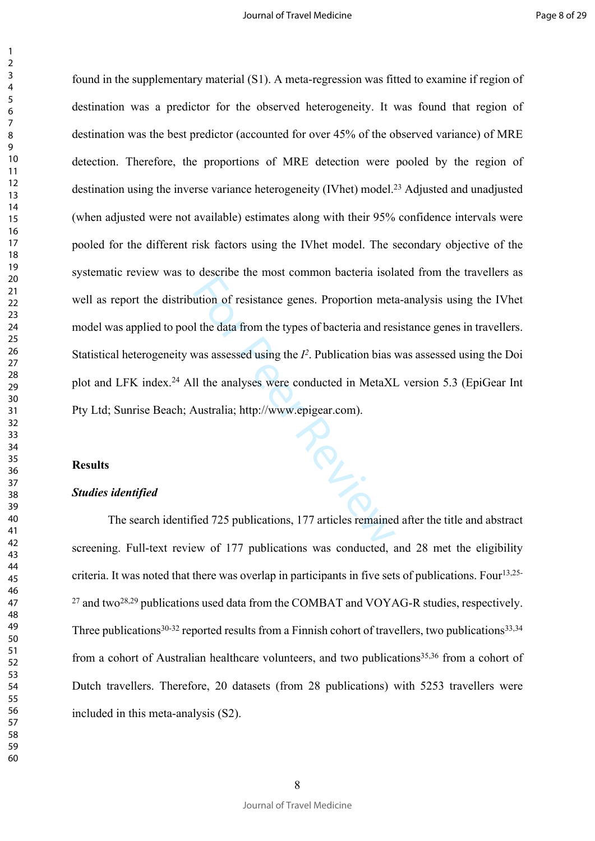For the most common statem here<br>ation of resistance genes. Proportion met<br>all the data from the types of bacteria and res<br>was assessed using the  $I^2$ . Publication bias<br>II the analyses were conducted in MetaXI<br>Australia; found in the supplementary material (S1). A meta-regression was fitted to examine if region of destination was a predictor for the observed heterogeneity. It was found that region of destination was the best predictor (accounted for over 45% of the observed variance) of MRE detection. Therefore, the proportions of MRE detection were pooled by the region of destination using the inverse variance heterogeneity (IVhet) model.<sup>23</sup> Adjusted and unadjusted (when adjusted were not available) estimates along with their 95% confidence intervals were pooled for the different risk factors using the IVhet model. The secondary objective of the systematic review was to describe the most common bacteria isolated from the travellers as well as report the distribution of resistance genes. Proportion meta-analysis using the IVhet model was applied to pool the data from the types of bacteria and resistance genes in travellers. Statistical heterogeneity was assessed using the  $I<sup>2</sup>$ . Publication bias was assessed using the Doi plot and LFK index.<sup>24</sup> All the analyses were conducted in MetaXL version 5.3 (EpiGear Int Pty Ltd; Sunrise Beach; Australia; http://www.epigear.com).

#### **Results**

## *Studies identified*

The search identified 725 publications, 177 articles remained after the title and abstract screening. Full-text review of 177 publications was conducted, and 28 met the eligibility criteria. It was noted that there was overlap in participants in five sets of publications. Four<sup>13,25-</sup>  $^{27}$  and two<sup>28,29</sup> publications used data from the COMBAT and VOYAG-R studies, respectively. Three publications<sup>30-32</sup> reported results from a Finnish cohort of travellers, two publications<sup>33,34</sup> from a cohort of Australian healthcare volunteers, and two publications<sup>35,36</sup> from a cohort of Dutch travellers. Therefore, 20 datasets (from 28 publications) with 5253 travellers were included in this meta-analysis (S2).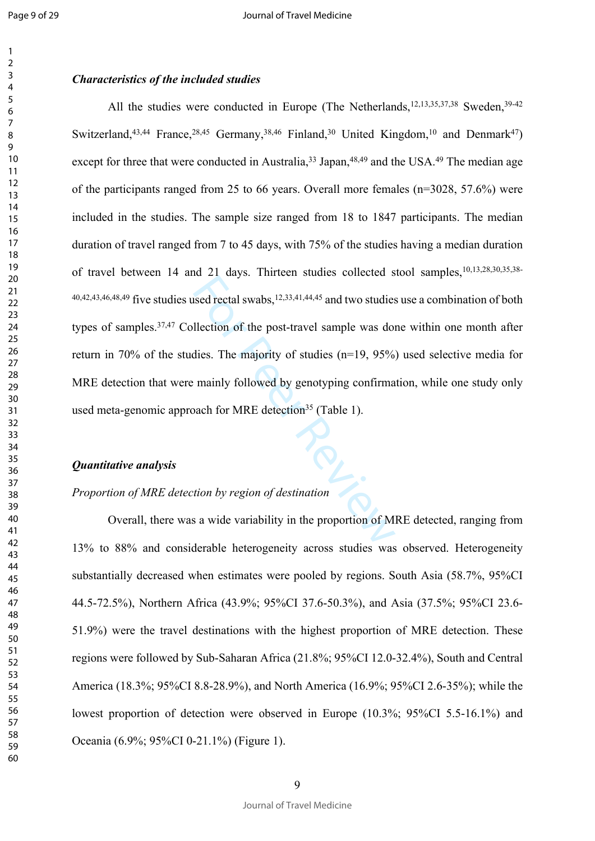$\mathbf{1}$  $\overline{2}$ 

#### *Characteristics of the included studies*

and 21 days. Timited statics denoted a<br>sed rectal swabs,<sup>12,33,41,44,45</sup> and two studies<br>llection of the post-travel sample was dos<br>dies. The majority of studies (n=19, 95%)<br>mainly followed by genotyping confirma<br>bach for All the studies were conducted in Europe (The Netherlands,<sup>12,13,35,37,38</sup> Sweden,<sup>39-42</sup> Switzerland,<sup>43,44</sup> France,<sup>28,45</sup> Germany,<sup>38,46</sup> Finland,<sup>30</sup> United Kingdom,<sup>10</sup> and Denmark<sup>47</sup>) except for three that were conducted in Australia,  $33 \text{ Japan}$ ,  $48,49$  and the USA.  $49$  The median age of the participants ranged from 25 to 66 years. Overall more females (n=3028, 57.6%) were included in the studies. The sample size ranged from 18 to 1847 participants. The median duration of travel ranged from 7 to 45 days, with 75% of the studies having a median duration of travel between 14 and 21 days. Thirteen studies collected stool samples,10,13,28,30,35,38-  $40,42,43,46,48,49$  five studies used rectal swabs, $12,33,41,44,45$  and two studies use a combination of both types of samples.37,47 Collection of the post-travel sample was done within one month after return in 70% of the studies. The majority of studies (n=19, 95%) used selective media for MRE detection that were mainly followed by genotyping confirmation, while one study only used meta-genomic approach for MRE detection<sup>35</sup> (Table 1).

#### *Quantitative analysis*

## *Proportion of MRE detection by region of destination*

Overall, there was a wide variability in the proportion of MRE detected, ranging from 13% to 88% and considerable heterogeneity across studies was observed. Heterogeneity substantially decreased when estimates were pooled by regions. South Asia (58.7%, 95%CI 44.5-72.5%), Northern Africa (43.9%; 95%CI 37.6-50.3%), and Asia (37.5%; 95%CI 23.6- 51.9%) were the travel destinations with the highest proportion of MRE detection. These regions were followed by Sub-Saharan Africa (21.8%; 95%CI 12.0-32.4%), South and Central America (18.3%; 95%CI 8.8-28.9%), and North America (16.9%; 95%CI 2.6-35%); while the lowest proportion of detection were observed in Europe (10.3%; 95%CI 5.5-16.1%) and Oceania (6.9%; 95%CI 0-21.1%) (Figure 1).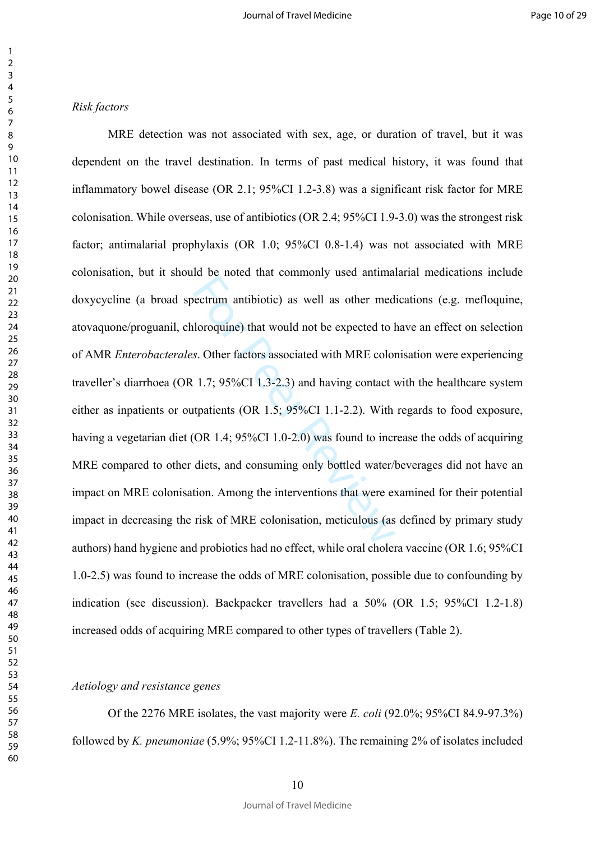#### *Risk factors*

ectrum antibiotic) as well as other med<br>aloroquine) that would not be expected to l<br>s. Other factors associated with MRE color<br>1.7; 95%CI 1.3-2.3) and having contact v<br>tratients (OR 1.5; 95%CI 1.1-2.2). With<br>(OR 1.4; 95%CI MRE detection was not associated with sex, age, or duration of travel, but it was dependent on the travel destination. In terms of past medical history, it was found that inflammatory bowel disease (OR 2.1; 95%CI 1.2-3.8) was a significant risk factor for MRE colonisation. While overseas, use of antibiotics (OR 2.4; 95%CI 1.9-3.0) was the strongest risk factor; antimalarial prophylaxis (OR 1.0; 95%CI 0.8-1.4) was not associated with MRE colonisation, but it should be noted that commonly used antimalarial medications include doxycycline (a broad spectrum antibiotic) as well as other medications (e.g. mefloquine, atovaquone/proguanil, chloroquine) that would not be expected to have an effect on selection of AMR *Enterobacterales*. Other factors associated with MRE colonisation were experiencing traveller's diarrhoea (OR 1.7; 95%CI 1.3-2.3) and having contact with the healthcare system either as inpatients or outpatients (OR 1.5; 95%CI 1.1-2.2). With regards to food exposure, having a vegetarian diet (OR 1.4; 95%CI 1.0-2.0) was found to increase the odds of acquiring MRE compared to other diets, and consuming only bottled water/beverages did not have an impact on MRE colonisation. Among the interventions that were examined for their potential impact in decreasing the risk of MRE colonisation, meticulous (as defined by primary study authors) hand hygiene and probiotics had no effect, while oral cholera vaccine (OR 1.6; 95%CI 1.0-2.5) was found to increase the odds of MRE colonisation, possible due to confounding by indication (see discussion). Backpacker travellers had a 50% (OR 1.5; 95%CI 1.2-1.8) increased odds of acquiring MRE compared to other types of travellers (Table 2).

#### *Aetiology and resistance genes*

Of the 2276 MRE isolates, the vast majority were *E. coli* (92.0%; 95%CI 84.9-97.3%) followed by *K. pneumoniae* (5.9%; 95%CI 1.2-11.8%). The remaining 2% of isolates included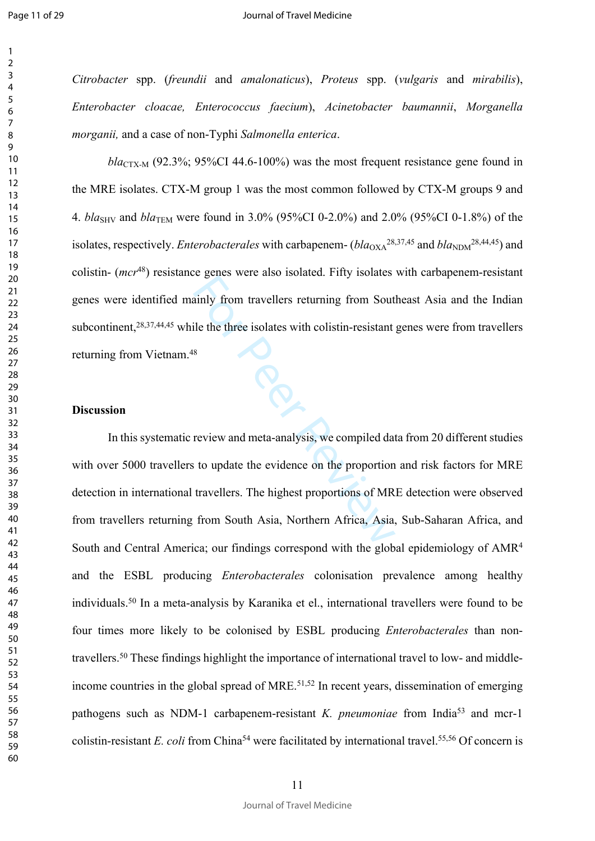$\mathbf{1}$  $\overline{2}$  $\overline{3}$  $\overline{4}$  $\overline{7}$ 

#### Journal of Travel Medicine

*Citrobacter* spp. (*freundii* and *amalonaticus*), *Proteus* spp. (*vulgaris* and *mirabilis*), *Enterobacter cloacae, Enterococcus faecium*), *Acinetobacter baumannii*, *Morganella morganii,* and a case of non-Typhi *Salmonella enterica* .

 $bla_{CTX-M}$  (92.3%; 95%CI 44.6-100%) was the most frequent resistance gene found in the MRE isolates. CTX-M group 1 was the most common followed by CTX-M groups 9 and 4. *bla*SHV and *bla*TEM were found in 3.0% (95%CI 0-2.0%) and 2.0% (95%CI 0-1.8%) of the isolates, respectively. *Enterobacterales* with carbapenem-  $(bla_{\text{OXA}}^{28,37,45}$  and  $bla_{\text{NDM}}^{28,44,45})$  and colistin- (*mcr*<sup>48</sup>) resistance genes were also isolated. Fifty isolates with carbapenem-resistant genes were identified mainly from travellers returning from Southeast Asia and the Indian subcontinent,<sup>28,37,44,45</sup> while the three isolates with colistin-resistant genes were from travellers returning from Vietnam.<sup>48</sup>

## **Discussion**

Example were also isolated. They isolated<br>ainly from travellers returning from Soutile the three isolates with colistin-resistant<br>s<br>s<br>review and meta-analysis, we compiled dat<br>is to update the evidence on the proportion<br>tr In this systematic review and meta-analysis, we compiled data from 20 different studies with over 5000 travellers to update the evidence on the proportion and risk factors for MRE detection in international travellers. The highest proportions of MRE detection were observed from travellers returning from South Asia, Northern Africa, Asia, Sub-Saharan Africa, and South and Central America; our findings correspond with the global epidemiology of AMR<sup>4</sup> and the ESBL producing *Enterobacterales* colonisation prevalence among healthy individuals.<sup>50</sup> In a meta-analysis by Karanika et el., international travellers were found to be four times more likely to be colonised by ESBL producing *Enterobacterales* than nontravellers.50 These findings highlight the importance of international travel to low- and middleincome countries in the global spread of MRE.<sup>51,52</sup> In recent years, dissemination of emerging pathogens such as NDM-1 carbapenem-resistant *K. pneumoniae* from India<sup>53</sup> and mcr-1 colistin-resistant *E. coli* from China<sup>54</sup> were facilitated by international travel.<sup>55,56</sup> Of concern is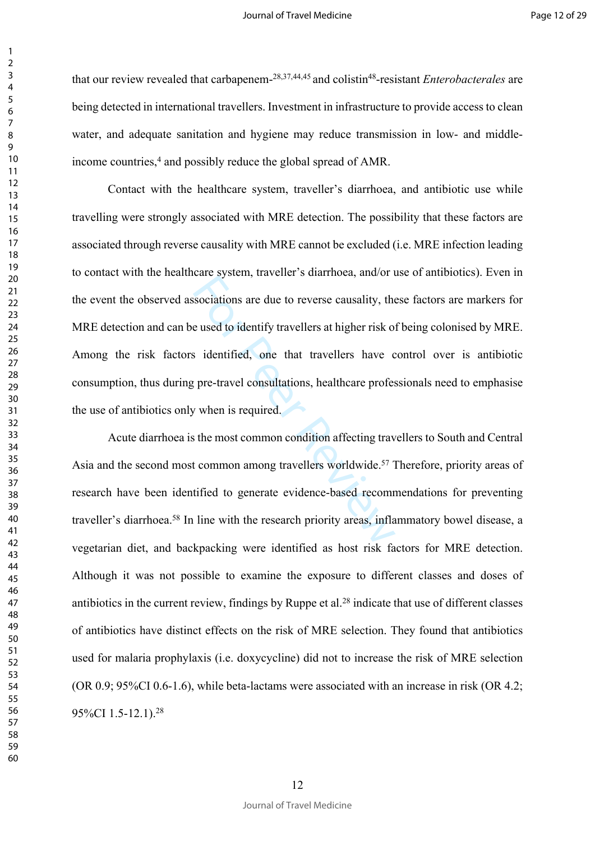that our review revealed that carbapenem-28,37,44,45 and colistin<sup>48</sup>-resistant *Enterobacterales* are being detected in international travellers. Investment in infrastructure to provide access to clean water, and adequate sanitation and hygiene may reduce transmission in low- and middleincome countries,<sup>4</sup> and possibly reduce the global spread of AMR.

Sociations are due to reverse causality, the<br>e used to identify travellers at higher risk of<br>identified, one that travellers have c<br>gre-travel consultations, healthcare profes<br>y when is required.<br>the most common condition Contact with the healthcare system, traveller's diarrhoea, and antibiotic use while travelling were strongly associated with MRE detection. The possibility that these factors are associated through reverse causality with MRE cannot be excluded (i.e. MRE infection leading to contact with the healthcare system, traveller's diarrhoea, and/or use of antibiotics). Even in the event the observed associations are due to reverse causality, these factors are markers for MRE detection and can be used to identify travellers at higher risk of being colonised by MRE. Among the risk factors identified, one that travellers have control over is antibiotic consumption, thus during pre-travel consultations, healthcare professionals need to emphasise the use of antibiotics only when is required.

Acute diarrhoea is the most common condition affecting travellers to South and Central Asia and the second most common among travellers worldwide.<sup>57</sup> Therefore, priority areas of research have been identified to generate evidence-based recommendations for preventing traveller's diarrhoea.<sup>58</sup> In line with the research priority areas, inflammatory bowel disease, a vegetarian diet, and backpacking were identified as host risk factors for MRE detection. Although it was not possible to examine the exposure to different classes and doses of antibiotics in the current review, findings by Ruppe et al.<sup>28</sup> indicate that use of different classes of antibiotics have distinct effects on the risk of MRE selection. They found that antibiotics used for malaria prophylaxis (i.e. doxycycline) did not to increase the risk of MRE selection (OR 0.9; 95%CI 0.6-1.6), while beta-lactams were associated with an increase in risk (OR 4.2; 95%CI 1.5-12.1).<sup>28</sup>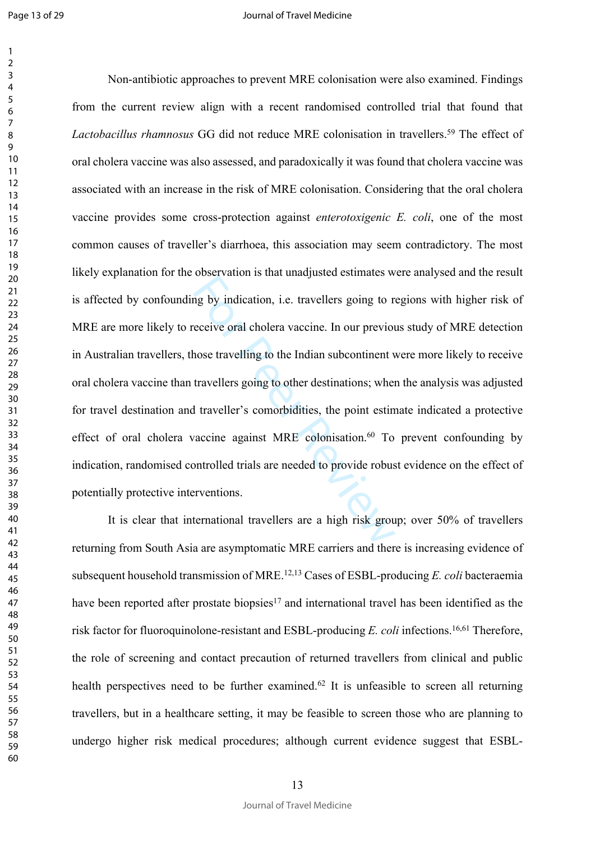$\mathbf{1}$  $\overline{2}$ 

best ration is and analytical estimates with a distributed in the analytical estimates with the exercise or al cholera vaccine. In our previous<br>hose travelling to the Indian subcontinent v<br>travellers going to other destina Non-antibiotic approaches to prevent MRE colonisation were also examined. Findings from the current review align with a recent randomised controlled trial that found that Lactobacillus rhamnosus GG did not reduce MRE colonisation in travellers.<sup>59</sup> The effect of oral cholera vaccine was also assessed, and paradoxically it was found that cholera vaccine was associated with an increase in the risk of MRE colonisation. Considering that the oral cholera vaccine provides some cross-protection against *enterotoxigenic E. coli*, one of the most common causes of traveller's diarrhoea, this association may seem contradictory. The most likely explanation for the observation is that unadjusted estimates were analysed and the result is affected by confounding by indication, i.e. travellers going to regions with higher risk of MRE are more likely to receive oral cholera vaccine. In our previous study of MRE detection in Australian travellers, those travelling to the Indian subcontinent were more likely to receive oral cholera vaccine than travellers going to other destinations; when the analysis was adjusted for travel destination and traveller's comorbidities, the point estimate indicated a protective effect of oral cholera vaccine against MRE colonisation.<sup>60</sup> To prevent confounding by indication, randomised controlled trials are needed to provide robust evidence on the effect of potentially protective interventions.

It is clear that international travellers are a high risk group; over 50% of travellers returning from South Asia are asymptomatic MRE carriers and there is increasing evidence of subsequent household transmission of MRE.12,13 Cases of ESBL-producing *E. coli* bacteraemia have been reported after prostate biopsies<sup>17</sup> and international travel has been identified as the risk factor for fluoroquinolone-resistant and ESBL-producing *E. coli* infections.16,61 Therefore, the role of screening and contact precaution of returned travellers from clinical and public health perspectives need to be further examined.<sup>62</sup> It is unfeasible to screen all returning travellers, but in a healthcare setting, it may be feasible to screen those who are planning to undergo higher risk medical procedures; although current evidence suggest that ESBL-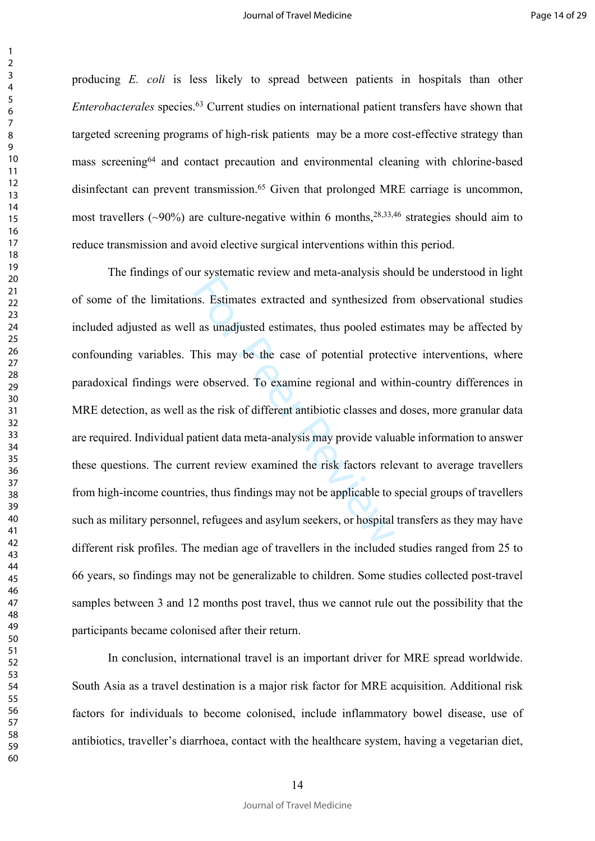producing *E. coli* is less likely to spread between patients in hospitals than other *Enterobacterales* species.<sup>63</sup> Current studies on international patient transfers have shown that targeted screening programs of high-risk patients may be a more cost-effective strategy than mass screening<sup>64</sup> and contact precaution and environmental cleaning with chlorine-based disinfectant can prevent transmission.<sup>65</sup> Given that prolonged MRE carriage is uncommon, most travellers ( $\sim$ 90%) are culture-negative within 6 months,  $28,33,46$  strategies should aim to reduce transmission and avoid elective surgical interventions within this period.

In systemate force and metal analysis and<br>In as unadjusted estimates, thus pooled estimates and<br>This may be the case of potential protection<br>This may be the case of potential protection<br>of the control of the risk of differ The findings of our systematic review and meta-analysis should be understood in light of some of the limitations. Estimates extracted and synthesized from observational studies included adjusted as well as unadjusted estimates, thus pooled estimates may be affected by confounding variables. This may be the case of potential protective interventions, where paradoxical findings were observed. To examine regional and within-country differences in MRE detection, as well as the risk of different antibiotic classes and doses, more granular data are required. Individual patient data meta-analysis may provide valuable information to answer these questions. The current review examined the risk factors relevant to average travellers from high-income countries, thus findings may not be applicable to special groups of travellers such as military personnel, refugees and asylum seekers, or hospital transfers as they may have different risk profiles. The median age of travellers in the included studies ranged from 25 to 66 years, so findings may not be generalizable to children. Some studies collected post-travel samples between 3 and 12 months post travel, thus we cannot rule out the possibility that the participants became colonised after their return.

In conclusion, international travel is an important driver for MRE spread worldwide. South Asia as a travel destination is a major risk factor for MRE acquisition. Additional risk factors for individuals to become colonised, include inflammatory bowel disease, use of antibiotics, traveller's diarrhoea, contact with the healthcare system, having a vegetarian diet,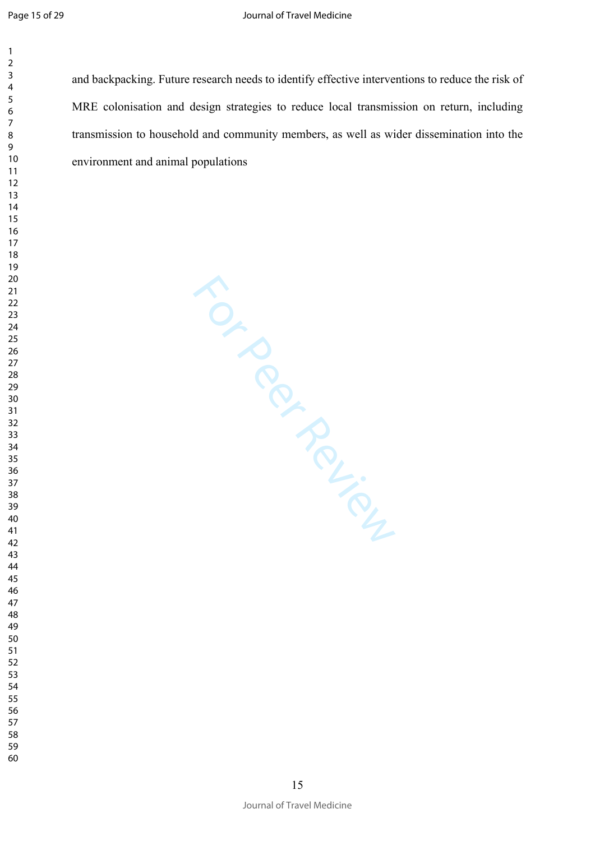$\mathbf{1}$ 

and backpacking. Future research needs to identify effective interventions to reduce the risk of MRE colonisation and design strategies to reduce local transmission on return, including transmission to household and community members, as well as wider dissemination into the environment and animal populations

For Perince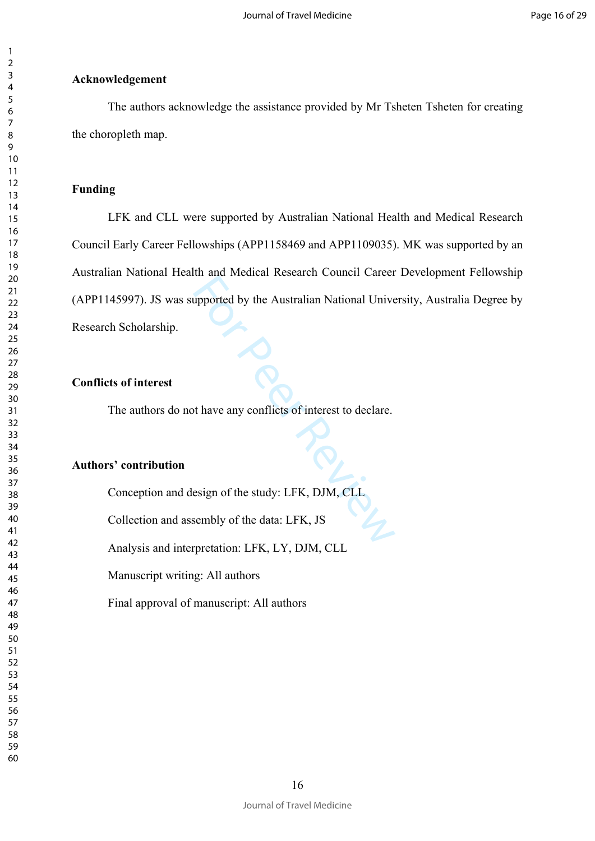## **Acknowledgement**

The authors acknowledge the assistance provided by Mr Tsheten Tsheten for creating the choropleth map.

## **Funding**

the Australian National University<br>proported by the Australian National University<br>of the study: LFK, DJM, CLL<br>sembly of the data: LFK, JS LFK and CLL were supported by Australian National Health and Medical Research Council Early Career Fellowships (APP1158469 and APP1109035). MK was supported by an Australian National Health and Medical Research Council Career Development Fellowship (APP1145997). JS was supported by the Australian National University, Australia Degree by Research Scholarship.

## **Conflicts of interest**

The authors do not have any conflicts of interest to declare.

## **Authors' contribution**

Conception and design of the study: LFK, DJM, CLL

Collection and assembly of the data: LFK, JS

Analysis and interpretation: LFK, LY, DJM, CLL

Manuscript writing: All authors

Final approval of manuscript: All authors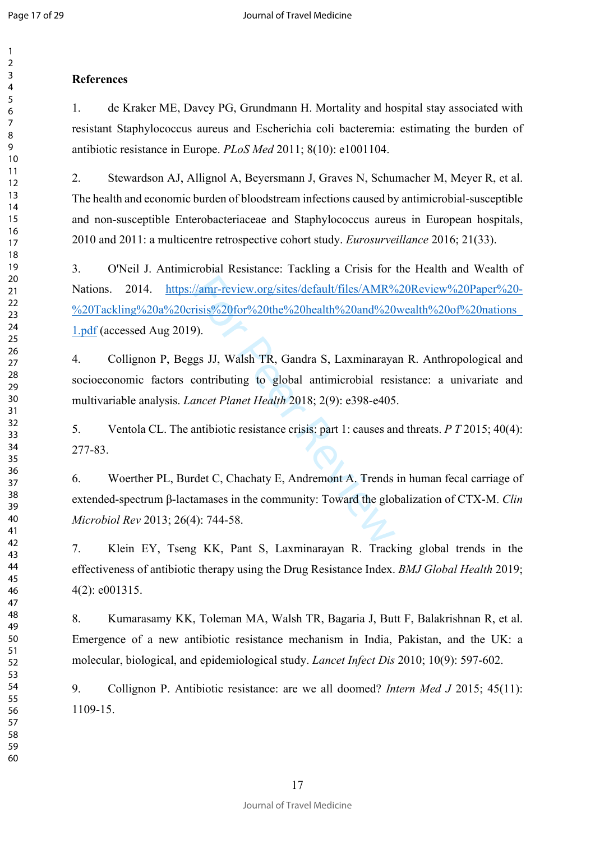$\mathbf{1}$  $\overline{2}$ 

## **References**

1. de Kraker ME, Davey PG, Grundmann H. Mortality and hospital stay associated with resistant Staphylococcus aureus and Escherichia coli bacteremia: estimating the burden of antibiotic resistance in Europe. *PLoS Med* 2011; 8(10): e1001104.

2. Stewardson AJ, Allignol A, Beyersmann J, Graves N, Schumacher M, Meyer R, et al. The health and economic burden of bloodstream infections caused by antimicrobial-susceptible and non-susceptible Enterobacteriaceae and Staphylococcus aureus in European hospitals, 2010 and 2011: a multicentre retrospective cohort study. *Eurosurveillance* 2016; 21(33).

 $\frac{1}{\text{max-review.org/sites/default/files/AMR}}$ <br>
Fisis%20for%20the%20health%20and%20<br>
9).<br>
gs JJ, Walsh TR, Gandra S, Laxminaraya<br>
contributing to global antimicrobial res<br>
anneet Planet Health 2018; 2(9): e398-e405<br>
antibiotic resistance crisi 3. O'Neil J. Antimicrobial Resistance: Tackling a Crisis for the Health and Wealth of Nations. 2014. [https://amr-review.org/sites/default/files/AMR%20Review%20Paper%20-](https://amr-review.org/sites/default/files/AMR%20Review%20Paper%20-%20Tackling%20a%20crisis%20for%20the%20health%20and%20wealth%20of%20nations_1.pdf) [%20Tackling%20a%20crisis%20for%20the%20health%20and%20wealth%20of%20nations\\_](https://amr-review.org/sites/default/files/AMR%20Review%20Paper%20-%20Tackling%20a%20crisis%20for%20the%20health%20and%20wealth%20of%20nations_1.pdf) [1.pdf](https://amr-review.org/sites/default/files/AMR%20Review%20Paper%20-%20Tackling%20a%20crisis%20for%20the%20health%20and%20wealth%20of%20nations_1.pdf) (accessed Aug 2019).

4. Collignon P, Beggs JJ, Walsh TR, Gandra S, Laxminarayan R. Anthropological and socioeconomic factors contributing to global antimicrobial resistance: a univariate and multivariable analysis. *Lancet Planet Health* 2018; 2(9): e398-e405.

5. Ventola CL. The antibiotic resistance crisis: part 1: causes and threats. *P T* 2015; 40(4): 277-83.

6. Woerther PL, Burdet C, Chachaty E, Andremont A. Trends in human fecal carriage of extended-spectrum β-lactamases in the community: Toward the globalization of CTX-M. *Clin Microbiol Rev* 2013; 26(4): 744-58.

7. Klein EY, Tseng KK, Pant S, Laxminarayan R. Tracking global trends in the effectiveness of antibiotic therapy using the Drug Resistance Index. *BMJ Global Health* 2019; 4(2): e001315.

8. Kumarasamy KK, Toleman MA, Walsh TR, Bagaria J, Butt F, Balakrishnan R, et al. Emergence of a new antibiotic resistance mechanism in India, Pakistan, and the UK: a molecular, biological, and epidemiological study. *Lancet Infect Dis* 2010; 10(9): 597-602.

9. Collignon P. Antibiotic resistance: are we all doomed? *Intern Med J* 2015; 45(11): 1109-15.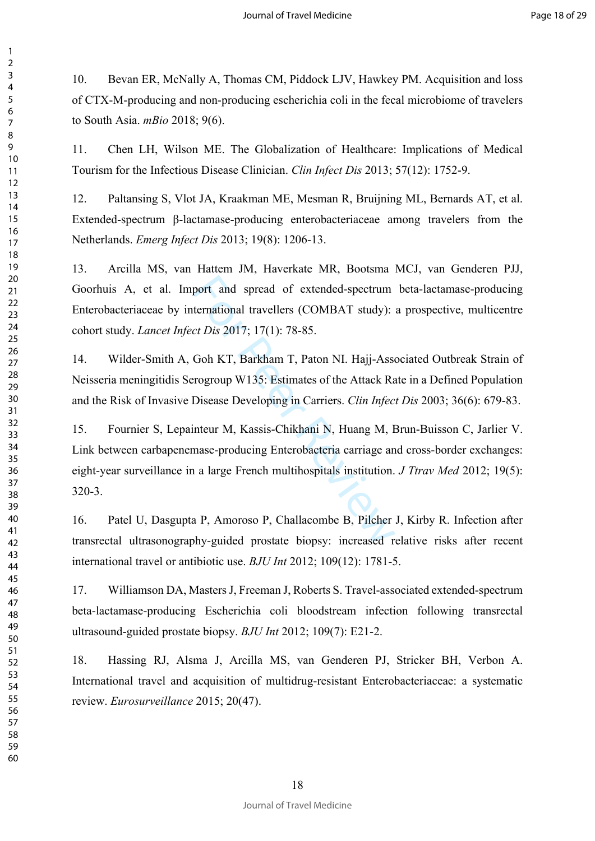10. Bevan ER, McNally A, Thomas CM, Piddock LJV, Hawkey PM. Acquisition and loss of CTX-M-producing and non-producing escherichia coli in the fecal microbiome of travelers to South Asia. *mBio* 2018; 9(6).

11. Chen LH, Wilson ME. The Globalization of Healthcare: Implications of Medical Tourism for the Infectious Disease Clinician. *Clin Infect Dis* 2013; 57(12): 1752-9.

12. Paltansing S, Vlot JA, Kraakman ME, Mesman R, Bruijning ML, Bernards AT, et al. Extended-spectrum β-lactamase-producing enterobacteriaceae among travelers from the Netherlands. *Emerg Infect Dis* 2013; 19(8): 1206-13.

13. Arcilla MS, van Hattem JM, Haverkate MR, Bootsma MCJ, van Genderen PJJ, Goorhuis A, et al. Import and spread of extended-spectrum beta-lactamase-producing Enterobacteriaceae by international travellers (COMBAT study): a prospective, multicentre cohort study. *Lancet Infect Dis* 2017; 17(1): 78-85.

14. Wilder-Smith A, Goh KT, Barkham T, Paton NI. Hajj-Associated Outbreak Strain of Neisseria meningitidis Serogroup W135: Estimates of the Attack Rate in a Defined Population and the Risk of Invasive Disease Developing in Carriers. *Clin Infect Dis* 2003; 36(6): 679-83.

port and spread of extended-spectrum<br>ternational travellers (COMBAT study):<br>ct Dis 2017; 17(1): 78-85.<br>Goh KT, Barkham T, Paton NI. Hajj-Asse<br>rogroup W135: Estimates of the Attack Ra<br>Disease Developing in Carriers. Clin In 15. Fournier S, Lepainteur M, Kassis-Chikhani N, Huang M, Brun-Buisson C, Jarlier V. Link between carbapenemase-producing Enterobacteria carriage and cross-border exchanges: eight-year surveillance in a large French multihospitals institution. *J Ttrav Med* 2012; 19(5): 320-3.

16. Patel U, Dasgupta P, Amoroso P, Challacombe B, Pilcher J, Kirby R. Infection after transrectal ultrasonography-guided prostate biopsy: increased relative risks after recent international travel or antibiotic use. *BJU Int* 2012; 109(12): 1781-5.

17. Williamson DA, Masters J, Freeman J, Roberts S. Travel-associated extended-spectrum beta-lactamase-producing Escherichia coli bloodstream infection following transrectal ultrasound-guided prostate biopsy. *BJU Int* 2012; 109(7): E21-2.

18. Hassing RJ, Alsma J, Arcilla MS, van Genderen PJ, Stricker BH, Verbon A. International travel and acquisition of multidrug-resistant Enterobacteriaceae: a systematic review. *Eurosurveillance* 2015; 20(47).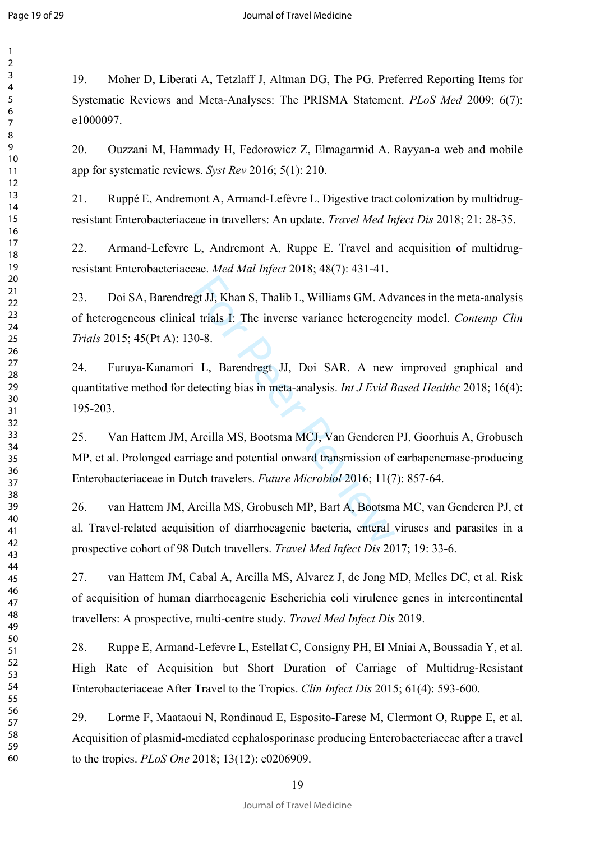$\mathbf{1}$ 

60

19. Moher D, Liberati A, Tetzlaff J, Altman DG, The PG. Preferred Reporting Items for Systematic Reviews and Meta-Analyses: The PRISMA Statement. *PLoS Med* 2009; 6(7): e1000097.

20. Ouzzani M, Hammady H, Fedorowicz Z, Elmagarmid A. Rayyan-a web and mobile app for systematic reviews. *Syst Rev* 2016; 5(1): 210.

21. Ruppé E, Andremont A, Armand-Lefèvre L. Digestive tract colonization by multidrugresistant Enterobacteriaceae in travellers: An update. *Travel Med Infect Dis* 2018; 21: 28-35.

22. Armand-Lefevre L, Andremont A, Ruppe E. Travel and acquisition of multidrugresistant Enterobacteriaceae. *Med Mal Infect* 2018; 48(7): 431-41.

gt JJ, Khan S, Thalib L, Williams GM. Adv<br>1 trials 1: The inverse variance heterogen<br>0-8.<br>L, Barendregt JJ, Doi SAR. A new<br>etecting bias in meta-analysis. *Int J Evid B*<br>Arcilla MS, Bootsma MCJ, Van Genderen<br>iage and poten 23. Doi SA, Barendregt JJ, Khan S, Thalib L, Williams GM. Advances in the meta-analysis of heterogeneous clinical trials I: The inverse variance heterogeneity model. *Contemp Clin Trials* 2015; 45(Pt A): 130-8.

24. Furuya-Kanamori L, Barendregt JJ, Doi SAR. A new improved graphical and quantitative method for detecting bias in meta-analysis. *Int J Evid Based Healthc* 2018; 16(4): 195-203.

25. Van Hattem JM, Arcilla MS, Bootsma MCJ, Van Genderen PJ, Goorhuis A, Grobusch MP, et al. Prolonged carriage and potential onward transmission of carbapenemase-producing Enterobacteriaceae in Dutch travelers. *Future Microbiol* 2016; 11(7): 857-64.

26. van Hattem JM, Arcilla MS, Grobusch MP, Bart A, Bootsma MC, van Genderen PJ, et al. Travel-related acquisition of diarrhoeagenic bacteria, enteral viruses and parasites in a prospective cohort of 98 Dutch travellers. *Travel Med Infect Dis* 2017; 19: 33-6.

27. van Hattem JM, Cabal A, Arcilla MS, Alvarez J, de Jong MD, Melles DC, et al. Risk of acquisition of human diarrhoeagenic Escherichia coli virulence genes in intercontinental travellers: A prospective, multi-centre study. *Travel Med Infect Dis* 2019.

28. Ruppe E, Armand-Lefevre L, Estellat C, Consigny PH, El Mniai A, Boussadia Y, et al. High Rate of Acquisition but Short Duration of Carriage of Multidrug-Resistant Enterobacteriaceae After Travel to the Tropics. *Clin Infect Dis* 2015; 61(4): 593-600.

29. Lorme F, Maataoui N, Rondinaud E, Esposito-Farese M, Clermont O, Ruppe E, et al. Acquisition of plasmid-mediated cephalosporinase producing Enterobacteriaceae after a travel to the tropics. *PLoS One* 2018; 13(12): e0206909.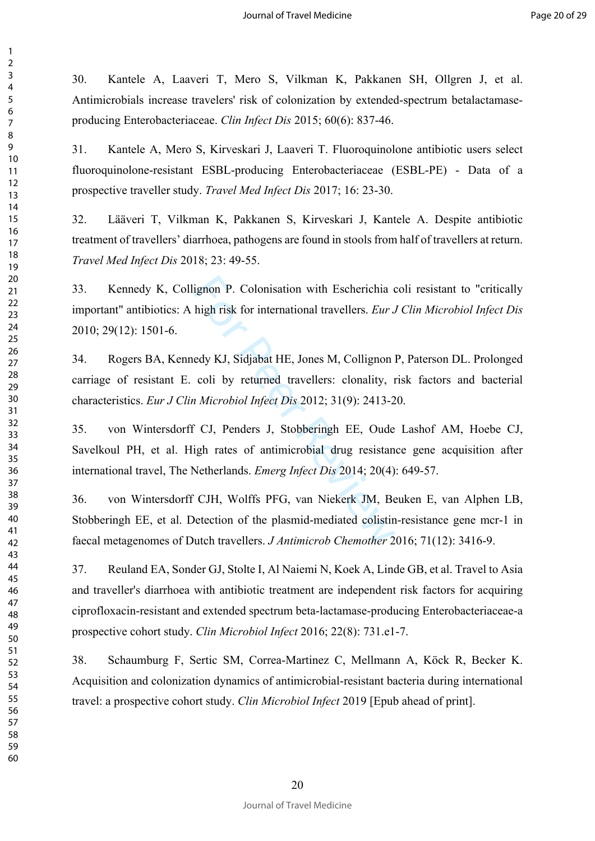30. Kantele A, Laaveri T, Mero S, Vilkman K, Pakkanen SH, Ollgren J, et al. Antimicrobials increase travelers' risk of colonization by extended-spectrum betalactamaseproducing Enterobacteriaceae. *Clin Infect Dis* 2015; 60(6): 837-46.

31. Kantele A, Mero S, Kirveskari J, Laaveri T. Fluoroquinolone antibiotic users select fluoroquinolone-resistant ESBL-producing Enterobacteriaceae (ESBL-PE) - Data of a prospective traveller study. *Travel Med Infect Dis* 2017; 16: 23-30.

32. Lääveri T, Vilkman K, Pakkanen S, Kirveskari J, Kantele A. Despite antibiotic treatment of travellers' diarrhoea, pathogens are found in stools from half of travellers at return. *Travel Med Infect Dis* 2018; 23: 49-55.

33. Kennedy K, Collignon P. Colonisation with Escherichia coli resistant to "critically important" antibiotics: A high risk for international travellers. *Eur J Clin Microbiol Infect Dis* 2010; 29(12): 1501-6.

34. Rogers BA, Kennedy KJ, Sidjabat HE, Jones M, Collignon P, Paterson DL. Prolonged carriage of resistant E. coli by returned travellers: clonality, risk factors and bacterial characteristics. *Eur J Clin Microbiol Infect Dis* 2012; 31(9): 2413-20.

ignon P. Colonisation with Escherichia chigh risk for international travellers. *Eur* J.<br>edy KJ, Sidjabat HE, Jones M, Collignon coli by returned travellers: clonality, *n Microbiol Infect Dis* 2012; 31(9): 2413-2<br>f CJ, 35. von Wintersdorff CJ, Penders J, Stobberingh EE, Oude Lashof AM, Hoebe CJ, Savelkoul PH, et al. High rates of antimicrobial drug resistance gene acquisition after international travel, The Netherlands. *Emerg Infect Dis* 2014; 20(4): 649-57.

36. von Wintersdorff CJH, Wolffs PFG, van Niekerk JM, Beuken E, van Alphen LB, Stobberingh EE, et al. Detection of the plasmid-mediated colistin-resistance gene mcr-1 in faecal metagenomes of Dutch travellers. *J Antimicrob Chemother* 2016; 71(12): 3416-9.

37. Reuland EA, Sonder GJ, Stolte I, Al Naiemi N, Koek A, Linde GB, et al. Travel to Asia and traveller's diarrhoea with antibiotic treatment are independent risk factors for acquiring ciprofloxacin-resistant and extended spectrum beta-lactamase-producing Enterobacteriaceae-a prospective cohort study. *Clin Microbiol Infect* 2016; 22(8): 731.e1-7.

38. Schaumburg F, Sertic SM, Correa-Martinez C, Mellmann A, Köck R, Becker K. Acquisition and colonization dynamics of antimicrobial-resistant bacteria during international travel: a prospective cohort study. *Clin Microbiol Infect* 2019 [Epub ahead of print].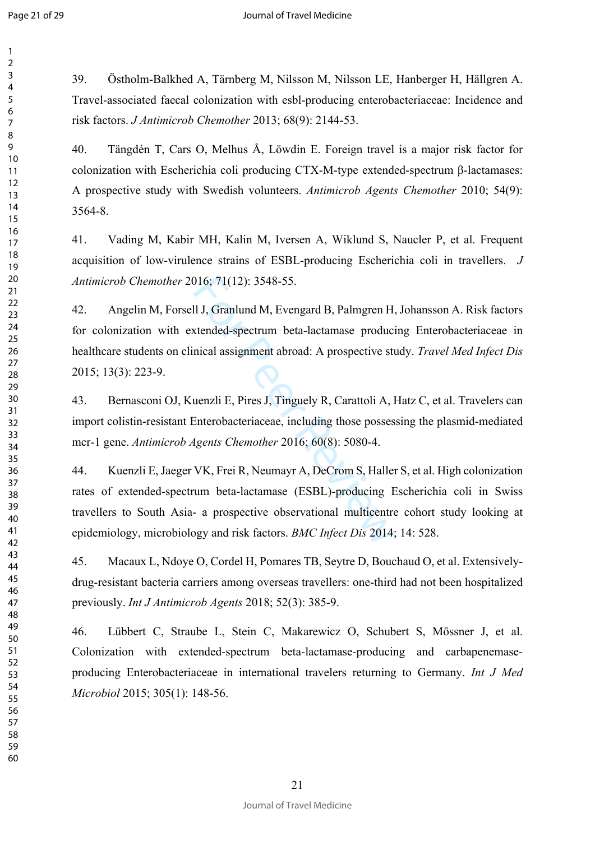$\mathbf{1}$  $\overline{2}$  $\overline{3}$  $\overline{4}$  $\overline{7}$ 

39. Östholm-Balkhed A, Tärnberg M, Nilsson M, Nilsson LE, Hanberger H, Hällgren A. Travel-associated faecal colonization with esbl-producing enterobacteriaceae: Incidence and risk factors. *J Antimicrob Chemother* 2013; 68(9): 2144-53.

40. Tängdén T, Cars O, Melhus Å, Löwdin E. Foreign travel is a major risk factor for colonization with Escherichia coli producing CTX-M-type extended-spectrum β-lactamases: A prospective study with Swedish volunteers. *Antimicrob Agents Chemother* 2010; 54(9): 3564-8.

41. Vading M, Kabir MH, Kalin M, Iversen A, Wiklund S, Naucler P, et al. Frequent acquisition of low-virulence strains of ESBL-producing Escherichia coli in travellers. *J Antimicrob Chemother* 2016; 71(12): 3548-55.

016; 71(12): 3548-55.<br>
Il J, Granlund M, Evengard B, Palmgren H,<br>
xtended-spectrum beta-lactamase produci<br>
nical assignment abroad: A prospective stu<br>
uenzli E, Pires J, Tinguely R, Carattoli A, l<br>
Enterobacteriaceae, incl 42. Angelin M, Forsell J, Granlund M, Evengard B, Palmgren H, Johansson A. Risk factors for colonization with extended-spectrum beta-lactamase producing Enterobacteriaceae in healthcare students on clinical assignment abroad: A prospective study. *Travel Med Infect Dis* 2015; 13(3): 223-9.

43. Bernasconi OJ, Kuenzli E, Pires J, Tinguely R, Carattoli A, Hatz C, et al. Travelers can import colistin-resistant Enterobacteriaceae, including those possessing the plasmid-mediated mcr-1 gene. *Antimicrob Agents Chemother* 2016; 60(8): 5080-4.

44. Kuenzli E, Jaeger VK, Frei R, Neumayr A, DeCrom S, Haller S, et al. High colonization rates of extended-spectrum beta-lactamase (ESBL)-producing Escherichia coli in Swiss travellers to South Asia- a prospective observational multicentre cohort study looking at epidemiology, microbiology and risk factors. *BMC Infect Dis* 2014; 14: 528.

45. Macaux L, Ndoye O, Cordel H, Pomares TB, Seytre D, Bouchaud O, et al. Extensivelydrug-resistant bacteria carriers among overseas travellers: one-third had not been hospitalized previously. *Int J Antimicrob Agents* 2018; 52(3): 385-9.

46. Lübbert C, Straube L, Stein C, Makarewicz O, Schubert S, Mössner J, et al. Colonization with extended-spectrum beta-lactamase-producing and carbapenemaseproducing Enterobacteriaceae in international travelers returning to Germany. *Int J Med Microbiol* 2015; 305(1): 148-56.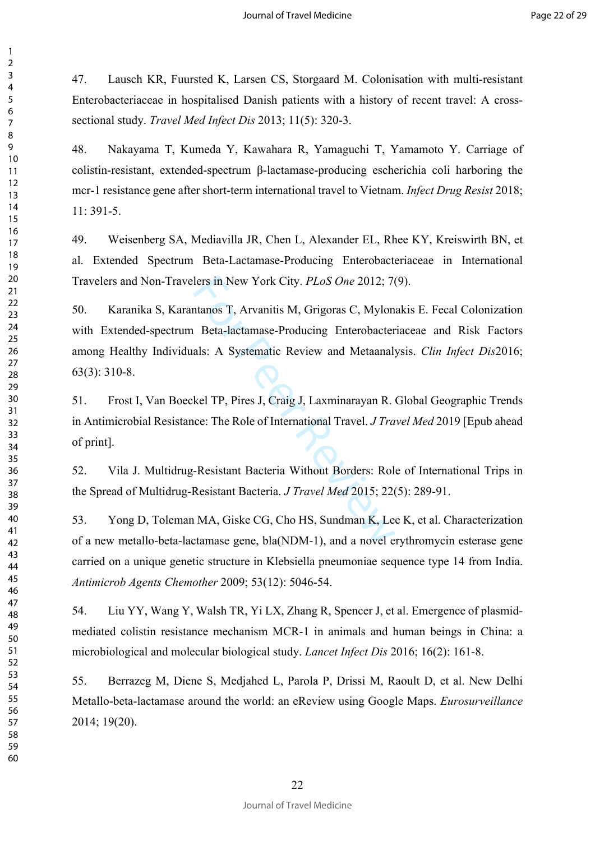47. Lausch KR, Fuursted K, Larsen CS, Storgaard M. Colonisation with multi-resistant Enterobacteriaceae in hospitalised Danish patients with a history of recent travel: A crosssectional study. *Travel Med Infect Dis* 2013; 11(5): 320-3.

48. Nakayama T, Kumeda Y, Kawahara R, Yamaguchi T, Yamamoto Y. Carriage of colistin-resistant, extended-spectrum β-lactamase-producing escherichia coli harboring the mcr-1 resistance gene after short-term international travel to Vietnam. *Infect Drug Resist* 2018; 11: 391-5.

49. Weisenberg SA, Mediavilla JR, Chen L, Alexander EL, Rhee KY, Kreiswirth BN, et al. Extended Spectrum Beta-Lactamase-Producing Enterobacteriaceae in International Travelers and Non-Travelers in New York City. *PLoS One* 2012; 7(9).

lers in New York City. *PLoS One* 2012; 7<br>
Intanos T, Arvanitis M, Grigoras C, Mylon<br>
1 Beta-lactamase-Producing Enterobacter<br>
als: A Systematic Review and Metaanal<br>
1<br>
kel TP, Pires J, Craig J, Laxminarayan R.<br>
ice: The R 50. Karanika S, Karantanos T, Arvanitis M, Grigoras C, Mylonakis E. Fecal Colonization with Extended-spectrum Beta-lactamase-Producing Enterobacteriaceae and Risk Factors among Healthy Individuals: A Systematic Review and Metaanalysis. *Clin Infect Dis*2016; 63(3): 310-8.

51. Frost I, Van Boeckel TP, Pires J, Craig J, Laxminarayan R. Global Geographic Trends in Antimicrobial Resistance: The Role of International Travel. *J Travel Med* 2019 [Epub ahead of print].

52. Vila J. Multidrug-Resistant Bacteria Without Borders: Role of International Trips in the Spread of Multidrug-Resistant Bacteria. *J Travel Med* 2015; 22(5): 289-91.

53. Yong D, Toleman MA, Giske CG, Cho HS, Sundman K, Lee K, et al. Characterization of a new metallo-beta-lactamase gene, bla(NDM-1), and a novel erythromycin esterase gene carried on a unique genetic structure in Klebsiella pneumoniae sequence type 14 from India. *Antimicrob Agents Chemother* 2009; 53(12): 5046-54.

54. Liu YY, Wang Y, Walsh TR, Yi LX, Zhang R, Spencer J, et al. Emergence of plasmidmediated colistin resistance mechanism MCR-1 in animals and human beings in China: a microbiological and molecular biological study. *Lancet Infect Dis* 2016; 16(2): 161-8.

55. Berrazeg M, Diene S, Medjahed L, Parola P, Drissi M, Raoult D, et al. New Delhi Metallo-beta-lactamase around the world: an eReview using Google Maps. *Eurosurveillance*  2014; 19(20).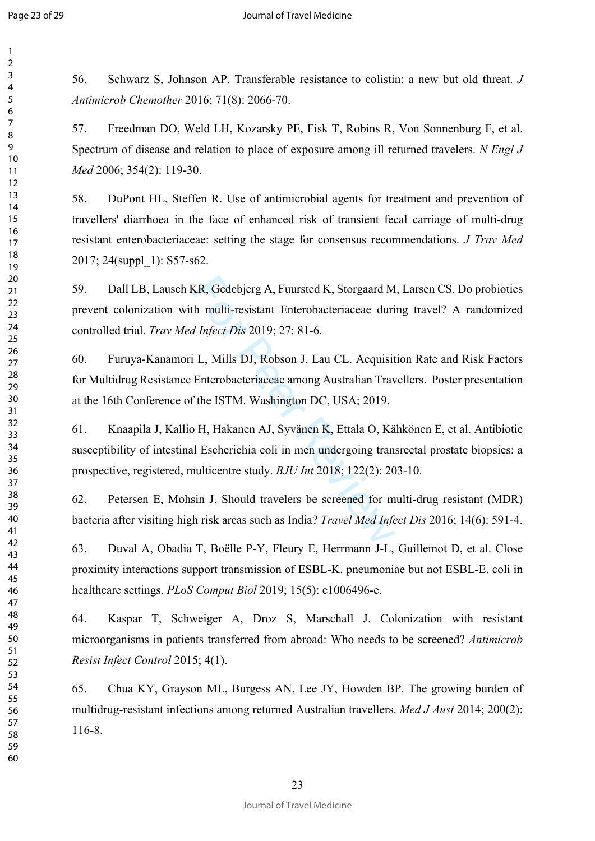$\mathbf{1}$ 

56. Schwarz S, Johnson AP. Transferable resistance to colistin: a new but old threat. *J Antimicrob Chemother* 2016; 71(8): 2066-70.

57. Freedman DO, Weld LH, Kozarsky PE, Fisk T, Robins R, Von Sonnenburg F, et al. Spectrum of disease and relation to place of exposure among ill returned travelers. *N Engl J Med* 2006; 354(2): 119-30.

58. DuPont HL, Steffen R. Use of antimicrobial agents for treatment and prevention of travellers' diarrhoea in the face of enhanced risk of transient fecal carriage of multi-drug resistant enterobacteriaceae: setting the stage for consensus recommendations. *J Trav Med*  2017; 24(suppl\_1): S57-s62.

59. Dall LB, Lausch KR, Gedebjerg A, Fuursted K, Storgaard M, Larsen CS. Do probiotics prevent colonization with multi-resistant Enterobacteriaceae during travel? A randomized controlled trial. *Trav Med Infect Dis* 2019; 27: 81-6.

60. Furuya-Kanamori L, Mills DJ, Robson J, Lau CL. Acquisition Rate and Risk Factors for Multidrug Resistance Enterobacteriaceae among Australian Travellers. Poster presentation at the 16th Conference of the ISTM. Washington DC, USA; 2019.

KR, Gedebjerg A, Fuursted K, Storgaard M<br>
th multi-resistant Enterobacteriaceae duri<br> *d Infect Dis* 2019; 27: 81-6.<br>
L. Mills DJ, Robson J, Lau CL. Acquisit<br>
Enterobacteriaceae among Australian Trav<br>
if the ISTM. Washingt 61. Knaapila J, Kallio H, Hakanen AJ, Syvänen K, Ettala O, Kähkönen E, et al. Antibiotic susceptibility of intestinal Escherichia coli in men undergoing transrectal prostate biopsies: a prospective, registered, multicentre study. *BJU Int* 2018; 122(2): 203-10.

62. Petersen E, Mohsin J. Should travelers be screened for multi-drug resistant (MDR) bacteria after visiting high risk areas such as India? *Travel Med Infect Dis* 2016; 14(6): 591-4.

63. Duval A, Obadia T, Boëlle P-Y, Fleury E, Herrmann J-L, Guillemot D, et al. Close proximity interactions support transmission of ESBL-K. pneumoniae but not ESBL-E. coli in healthcare settings. *PLoS Comput Biol* 2019; 15(5): e1006496-e.

64. Kaspar T, Schweiger A, Droz S, Marschall J. Colonization with resistant microorganisms in patients transferred from abroad: Who needs to be screened? *Antimicrob Resist Infect Control* 2015; 4(1).

65. Chua KY, Grayson ML, Burgess AN, Lee JY, Howden BP. The growing burden of multidrug-resistant infections among returned Australian travellers. *Med J Aust* 2014; 200(2): 116-8.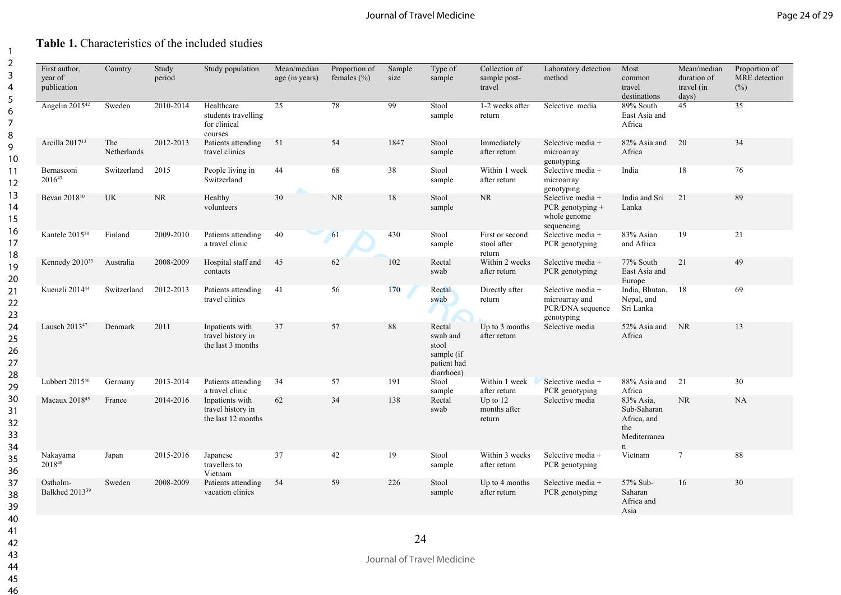## **Table 1.** Characteristics of the included studies

| First author,<br>year of<br>publication | Country            | Study<br>period | Study population                                             | Mean/median<br>age (in years) | Proportion of<br>females $(\% )$ | Sample<br>size | Type of<br>sample                                                      | Collection of<br>sample post-<br>travel  | Laboratory detection<br>method                                        | Most<br>common<br>travel<br>destinations                            | Mean/median<br>duration of<br>travel (in<br>days) | Proportion of<br>MRE detection<br>(%) |
|-----------------------------------------|--------------------|-----------------|--------------------------------------------------------------|-------------------------------|----------------------------------|----------------|------------------------------------------------------------------------|------------------------------------------|-----------------------------------------------------------------------|---------------------------------------------------------------------|---------------------------------------------------|---------------------------------------|
| Angelin 2015 <sup>42</sup>              | Sweden             | 2010-2014       | Healthcare<br>students travelling<br>for clinical<br>courses | 25                            | 78                               | 99             | Stool<br>sample                                                        | 1-2 weeks after<br>return                | Selective media                                                       | 89% South<br>East Asia and<br>Africa                                | 45                                                | $\overline{35}$                       |
| Arcilla 2017 <sup>13</sup>              | The<br>Netherlands | 2012-2013       | Patients attending<br>travel clinics                         | 51                            | 54                               | 1847           | Stool<br>sample                                                        | Immediately<br>after return              | Selective media +<br>microarray<br>genotyping                         | 82% Asia and<br>Africa                                              | 20                                                | 34                                    |
| Bernasconi<br>201643                    | Switzerland        | 2015            | People living in<br>Switzerland                              | 44                            | 68                               | 38             | Stool<br>sample                                                        | Within 1 week<br>after return            | Selective media +<br>microarray<br>genotyping                         | India                                                               | $18\,$                                            | 76                                    |
| Bevan 2018 <sup>10</sup>                | <b>UK</b>          | <b>NR</b>       | Healthy<br>volunteers                                        | $30\,$                        | <b>NR</b>                        | 18             | Stool<br>sample                                                        | <b>NR</b>                                | Selective media +<br>PCR genotyping $+$<br>whole genome<br>sequencing | India and Sri<br>Lanka                                              | 21                                                | 89                                    |
| Kantele 2015 <sup>30</sup>              | Finland            | 2009-2010       | Patients attending<br>a travel clinic                        | 40                            | 61                               | 430            | Stool<br>sample                                                        | First or second<br>stool after<br>return | Selective media +<br>PCR genotyping                                   | 83% Asian<br>and Africa                                             | 19                                                | 21                                    |
| Kennedy 2010 <sup>33</sup>              | Australia          | 2008-2009       | Hospital staff and<br>contacts                               | 45                            | 62                               | 102            | Rectal<br>swab                                                         | Within 2 weeks<br>after return           | Selective media $+$<br>PCR genotyping                                 | 77% South<br>East Asia and<br>Europe                                | 21                                                | 49                                    |
| Kuenzli 2014 <sup>44</sup>              | Switzerland        | 2012-2013       | Patients attending<br>travel clinics                         | 41                            | 56                               | 170            | Rectal<br>swab                                                         | Directly after<br>return                 | Selective media +<br>microarray and<br>PCR/DNA sequence<br>genotyping | India, Bhutan, 18<br>Nepal, and<br>Sri Lanka                        |                                                   | 69                                    |
| Lausch 2013 <sup>47</sup>               | Denmark            | 2011            | Inpatients with<br>travel history in<br>the last 3 months    | 37                            | 57                               | 88             | Rectal<br>swab and<br>stool<br>sample (if<br>patient had<br>diarrhoea) | Up to 3 months<br>after return           | Selective media                                                       | 52% Asia and<br>Africa                                              | NR                                                | 13                                    |
| Lubbert 2015 <sup>46</sup>              | Germany            | 2013-2014       | Patients attending<br>a travel clinic                        | 34                            | 57                               | 191            | Stool<br>sample                                                        | Within 1 week<br>after return            | Selective media $+$<br>PCR genotyping                                 | 88% Asia and<br>Africa                                              | 21                                                | 30                                    |
| Macaux 2018 <sup>45</sup>               | France             | 2014-2016       | Inpatients with<br>travel history in<br>the last 12 months   | 62                            | 34                               | 138            | Rectal<br>swab                                                         | Up to $12$<br>months after<br>return     | Selective media                                                       | 83% Asia,<br>Sub-Saharan<br>Africa, and<br>the<br>Mediterranea<br>n | <b>NR</b>                                         | <b>NA</b>                             |
| Nakayama<br>201848                      | Japan              | 2015-2016       | Japanese<br>travellers to<br>Vietnam                         | 37                            | 42                               | 19             | Stool<br>sample                                                        | Within 3 weeks<br>after return           | Selective media $+$<br>PCR genotyping                                 | Vietnam                                                             | $\tau$                                            | 88                                    |
| Ostholm-<br>Balkhed 2013 <sup>39</sup>  | Sweden             | 2008-2009       | Patients attending<br>vacation clinics                       | 54                            | 59                               | 226            | Stool<br>sample                                                        | Up to 4 months<br>after return           | Selective media +<br>PCR genotyping                                   | 57% Sub-<br>Saharan<br>Africa and<br>Asia                           | 16                                                | 30                                    |

24

Journal of Travel Medicine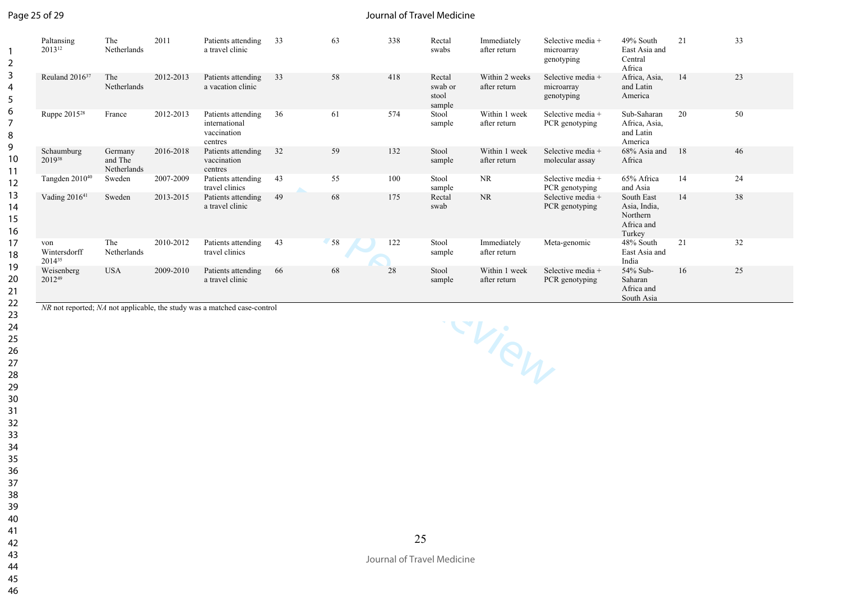## Page 25 of 29

#### Journal of Travel Medicine

| $\overline{2}$           | Paltansing<br>2013 <sup>12</sup>   | The<br>Netherlands                | 2011      | Patients attending<br>a travel clinic                                                                                                  | 33 | 63 | 338 | Rectal<br>swabs                      | Immediately<br>after return    | Selective media +<br>microarray<br>genotyping | 49% South<br>East Asia and<br>Central<br>Africa                | 21 | 33 |
|--------------------------|------------------------------------|-----------------------------------|-----------|----------------------------------------------------------------------------------------------------------------------------------------|----|----|-----|--------------------------------------|--------------------------------|-----------------------------------------------|----------------------------------------------------------------|----|----|
| 3<br>4<br>5              | Reuland 2016 <sup>37</sup>         | The<br>Netherlands                | 2012-2013 | Patients attending<br>a vacation clinic                                                                                                | 33 | 58 | 418 | Rectal<br>swab or<br>stool<br>sample | Within 2 weeks<br>after return | Selective media +<br>microarray<br>genotyping | Africa, Asia,<br>and Latin<br>America                          | 14 | 23 |
| 6<br>$\overline{7}$<br>8 | Ruppe 2015 <sup>28</sup>           | France                            | 2012-2013 | Patients attending<br>international<br>vaccination<br>centres                                                                          | 36 | 61 | 574 | Stool<br>sample                      | Within 1 week<br>after return  | Selective media +<br>PCR genotyping           | Sub-Saharan<br>Africa, Asia,<br>and Latin<br>America           | 20 | 50 |
| 9<br>10<br>11            | Schaumburg<br>201938               | Germany<br>and The<br>Netherlands | 2016-2018 | Patients attending<br>vaccination<br>centres                                                                                           | 32 | 59 | 132 | Stool<br>sample                      | Within 1 week<br>after return  | Selective media +<br>molecular assay          | 68% Asia and<br>Africa                                         | 18 | 46 |
| 12                       | Tangden $2010^{40}$                | Sweden                            | 2007-2009 | Patients attending<br>travel clinics                                                                                                   | 43 | 55 | 100 | Stool<br>sample                      | <b>NR</b>                      | Selective media +<br>PCR genotyping           | 65% Africa<br>and Asia                                         | 14 | 24 |
| 13<br>14<br>15<br>16     | Vading 2016 <sup>41</sup>          | Sweden                            | 2013-2015 | Patients attending<br>a travel clinic                                                                                                  | 49 | 68 | 175 | Rectal<br>swab                       | <b>NR</b>                      | Selective media +<br>PCR genotyping           | South East<br>Asia, India,<br>Northern<br>Africa and<br>Turkey | 14 | 38 |
| 17<br>18                 | von<br>Wintersdorff<br>$2014^{35}$ | The<br>Netherlands                | 2010-2012 | Patients attending<br>travel clinics                                                                                                   | 43 | 58 | 122 | Stool<br>sample                      | Immediately<br>after return    | Meta-genomic                                  | 48% South<br>East Asia and<br>India                            | 21 | 32 |
| 19<br>20<br>21<br>22     | Weisenberg<br>201249               | <b>USA</b>                        | 2009-2010 | Patients attending<br>a travel clinic<br>$\overline{MD}$ not reported: $\overline{MA}$ not emplies the study was a matched associated. | 66 | 68 | 28  | Stool<br>sample                      | Within 1 week<br>after return  | Selective media +<br>PCR genotyping           | 54% Sub-<br>Saharan<br>Africa and<br>South Asia                | 16 | 25 |

*NR* not reported; *NA* not applicable, the study was a matched case-control

Frien P

Journal of Travel Medicine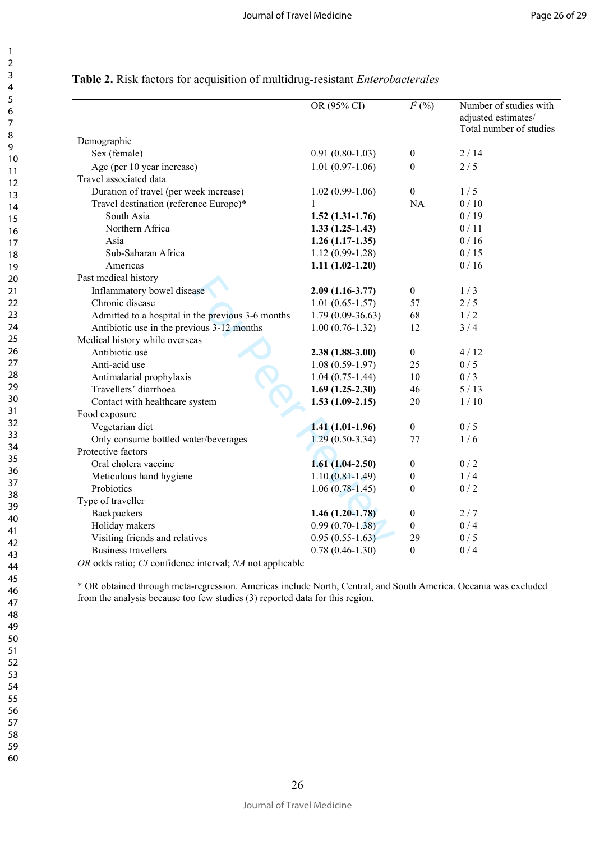|                                                   | OR (95% CI)         | $I^2(%)$         | Number of studies with<br>adjusted estimates/<br>Total number of studies |
|---------------------------------------------------|---------------------|------------------|--------------------------------------------------------------------------|
| Demographic                                       |                     |                  |                                                                          |
| Sex (female)                                      | $0.91(0.80-1.03)$   | $\boldsymbol{0}$ | 2/14                                                                     |
| Age (per 10 year increase)                        | $1.01(0.97-1.06)$   | $\theta$         | 2/5                                                                      |
| Travel associated data                            |                     |                  |                                                                          |
| Duration of travel (per week increase)            | $1.02(0.99-1.06)$   | $\boldsymbol{0}$ | 1/5                                                                      |
| Travel destination (reference Europe)*            |                     | <b>NA</b>        | 0/10                                                                     |
| South Asia                                        | $1.52(1.31-1.76)$   |                  | 0/19                                                                     |
| Northern Africa                                   | $1.33(1.25-1.43)$   |                  | 0/11                                                                     |
| Asia                                              | $1.26(1.17-1.35)$   |                  | 0/16                                                                     |
| Sub-Saharan Africa                                | $1.12(0.99-1.28)$   |                  | 0/15                                                                     |
| Americas                                          | $1.11(1.02-1.20)$   |                  | 0/16                                                                     |
| Past medical history                              |                     |                  |                                                                          |
| Inflammatory bowel disease                        | $2.09(1.16-3.77)$   | $\boldsymbol{0}$ | 1/3                                                                      |
| Chronic disease                                   | $1.01(0.65-1.57)$   | 57               | 2/5                                                                      |
| Admitted to a hospital in the previous 3-6 months | $1.79(0.09-36.63)$  | 68               | 1/2                                                                      |
| Antibiotic use in the previous 3-12 months        | $1.00(0.76-1.32)$   | 12               | 3/4                                                                      |
| Medical history while overseas                    |                     |                  |                                                                          |
| Antibiotic use                                    | $2.38(1.88-3.00)$   | $\boldsymbol{0}$ | 4/12                                                                     |
| Anti-acid use                                     | $1.08(0.59-1.97)$   | 25               | 0/5                                                                      |
| Antimalarial prophylaxis                          | $1.04(0.75-1.44)$   | 10               | 0/3                                                                      |
| Travellers' diarrhoea                             | $1.69(1.25-2.30)$   | 46               | 5/13                                                                     |
| Contact with healthcare system                    | $1.53(1.09-2.15)$   | 20               | 1/10                                                                     |
| Food exposure                                     |                     |                  |                                                                          |
| Vegetarian diet                                   | $1.41(1.01-1.96)$   | $\boldsymbol{0}$ | 0/5                                                                      |
| Only consume bottled water/beverages              | $1.29(0.50-3.34)$   | 77               | 1/6                                                                      |
| Protective factors                                |                     |                  |                                                                          |
| Oral cholera vaccine                              | $1.61(1.04-2.50)$   | $\boldsymbol{0}$ | 0/2                                                                      |
| Meticulous hand hygiene                           | $1.10(0.81 - 1.49)$ | 0                | 1/4                                                                      |
| Probiotics                                        | $1.06(0.78-1.45)$   | $\boldsymbol{0}$ | 0/2                                                                      |
| Type of traveller                                 |                     |                  |                                                                          |
| Backpackers                                       | $1.46(1.20-1.78)$   | $\boldsymbol{0}$ | 2/7                                                                      |
| Holiday makers                                    | $0.99(0.70-1.38)$   | $\boldsymbol{0}$ | 0/4                                                                      |
| Visiting friends and relatives                    | $0.95(0.55-1.63)$   | 29               | 0/5                                                                      |
| <b>Business travellers</b>                        | $0.78(0.46 - 1.30)$ | $\boldsymbol{0}$ | 0/4                                                                      |

## **Table 2.** Risk factors for acquisition of multidrug-resistant *Enterobacterales*

*OR* odds ratio; *CI* confidence interval; *NA* not applicable

\* OR obtained through meta-regression. Americas include North, Central, and South America. Oceania was excluded from the analysis because too few studies (3) reported data for this region.

59 60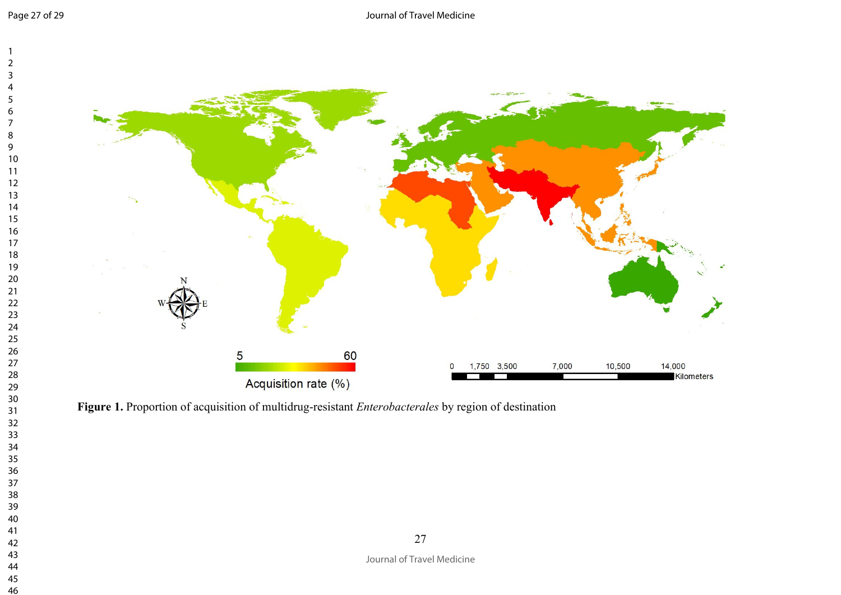

**Figure 1.** Proportion of acquisition of multidrug-resistant *Enterobacterales* by region of destination

Journal of Travel Medicine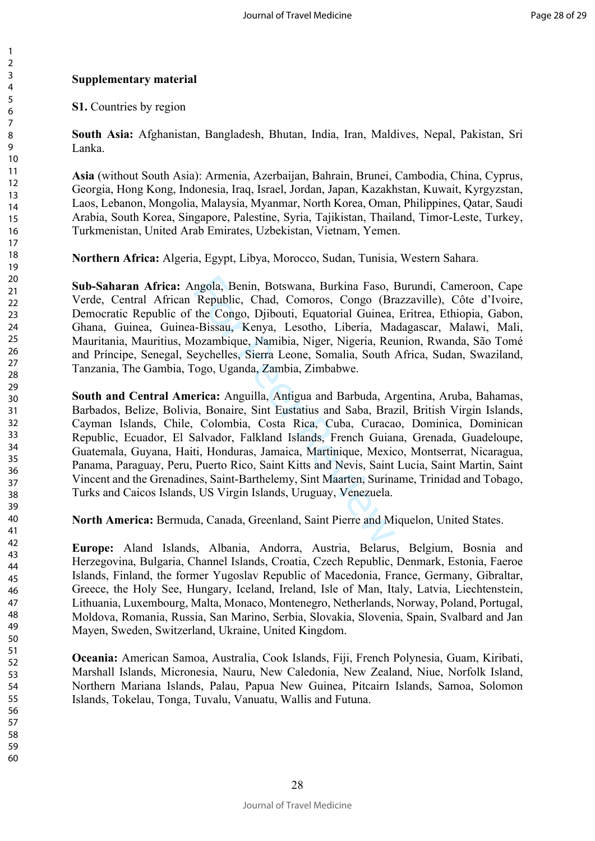## **Supplementary material**

**S1.** Countries by region

**South Asia:** Afghanistan, Bangladesh, Bhutan, India, Iran, Maldives, Nepal, Pakistan, Sri Lanka.

**Asia** (without South Asia): Armenia, Azerbaijan, Bahrain, Brunei, Cambodia, China, Cyprus, Georgia, Hong Kong, Indonesia, Iraq, Israel, Jordan, Japan, Kazakhstan, Kuwait, Kyrgyzstan, Laos, Lebanon, Mongolia, Malaysia, Myanmar, North Korea, Oman, Philippines, Qatar, Saudi Arabia, South Korea, Singapore, Palestine, Syria, Tajikistan, Thailand, Timor-Leste, Turkey, Turkmenistan, United Arab Emirates, Uzbekistan, Vietnam, Yemen.

**Northern Africa:** Algeria, Egypt, Libya, Morocco, Sudan, Tunisia, Western Sahara.

**Sub-Saharan Africa:** Angola, Benin, Botswana, Burkina Faso, Burundi, Cameroon, Cape Verde, Central African Republic, Chad, Comoros, Congo (Brazzaville), Côte d'Ivoire, Democratic Republic of the Congo, Djibouti, Equatorial Guinea, Eritrea, Ethiopia, Gabon, Ghana, Guinea, Guinea-Bissau, Kenya, Lesotho, Liberia, Madagascar, Malawi, Mali, Mauritania, Mauritius, Mozambique, Namibia, Niger, Nigeria, Reunion, Rwanda, São Tomé and Príncipe, Senegal, Seychelles, Sierra Leone, Somalia, South Africa, Sudan, Swaziland, Tanzania, The Gambia, Togo, Uganda, Zambia, Zimbabwe.

ngola, Benin, Botswana, Burkina Faso, I<br>Republic, Chad, Comoros, Congo (Br<br>the Congo, Djibouti, Equatorial Guinea,<br>--Bissau, Kenya, Lesotho, Liberia, Ma<br>Iozambique, Namibia, Niger, Nigeria, Ret<br>eychelles, Sierra Leone, Som **South and Central America:** Anguilla, Antigua and Barbuda, Argentina, Aruba, Bahamas, Barbados, Belize, Bolivia, Bonaire, Sint Eustatius and Saba, Brazil, British Virgin Islands, Cayman Islands, Chile, Colombia, Costa Rica, Cuba, Curacao, Dominica, Dominican Republic, Ecuador, El Salvador, Falkland Islands, French Guiana, Grenada, Guadeloupe, Guatemala, Guyana, Haiti, Honduras, Jamaica, Martinique, Mexico, Montserrat, Nicaragua, Panama, Paraguay, Peru, Puerto Rico, Saint Kitts and Nevis, Saint Lucia, Saint Martin, Saint Vincent and the Grenadines, Saint-Barthelemy, Sint Maarten, Suriname, Trinidad and Tobago, Turks and Caicos Islands, US Virgin Islands, Uruguay, Venezuela.

**North America:** Bermuda, Canada, Greenland, Saint Pierre and Miquelon, United States.

**Europe:** Aland Islands, Albania, Andorra, Austria, Belarus, Belgium, Bosnia and Herzegovina, Bulgaria, Channel Islands, Croatia, Czech Republic, Denmark, Estonia, Faeroe Islands, Finland, the former Yugoslav Republic of Macedonia, France, Germany, Gibraltar, Greece, the Holy See, Hungary, Iceland, Ireland, Isle of Man, Italy, Latvia, Liechtenstein, Lithuania, Luxembourg, Malta, Monaco, Montenegro, Netherlands, Norway, Poland, Portugal, Moldova, Romania, Russia, San Marino, Serbia, Slovakia, Slovenia, Spain, Svalbard and Jan Mayen, Sweden, Switzerland, Ukraine, United Kingdom.

**Oceania:** American Samoa, Australia, Cook Islands, Fiji, French Polynesia, Guam, Kiribati, Marshall Islands, Micronesia, Nauru, New Caledonia, New Zealand, Niue, Norfolk Island, Northern Mariana Islands, Palau, Papua New Guinea, Pitcairn Islands, Samoa, Solomon Islands, Tokelau, Tonga, Tuvalu, Vanuatu, Wallis and Futuna.